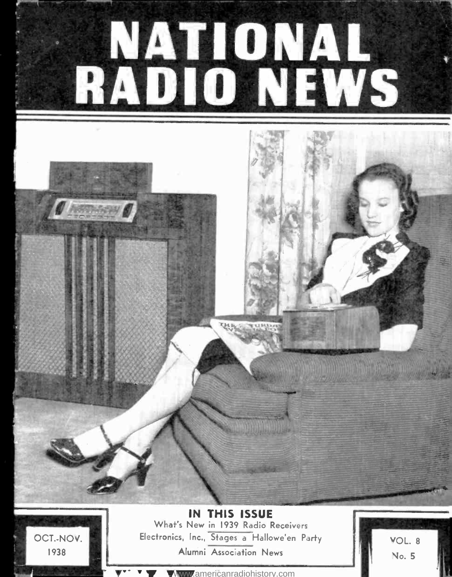



OCT.-NOV. 1938

IN THIS ISSUE What's New in 1939 Radio Receivers Electronics, Inc., Stages a Hallowe'en Party Alumni Association News

VOL. <sup>8</sup> No. 5

<www.americanradiohistory.com>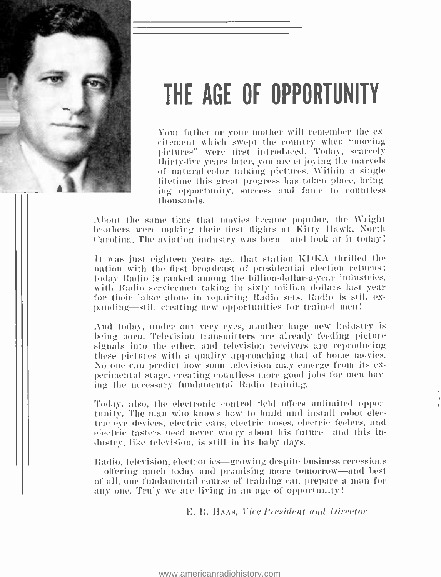

# THE AGE OF OPPORTUNITY

Your father or your mother will remember the ex- citement which swept the country when "moving pictures" were first introduced. Today, scarcely thirty -five years later. you are enjoying the marvels of natural color talking pictures. Within a single lifetime this great progress has taken place, bringing opportunity, success and fame to countless thousands.

About the same time that movies became popular, the Wright brothers were making their first flights at Kitty hawk. North Carolina. The aviation industry was born—and look at it today!

It was just eighteen years ago that station KIKA thrilled the nation with the first broadcast of presidential election returns; Today Radio is ranked among the billion -dollar -a -year industries. with Radio servicemen taking in sixty million dollars last year for their labor alone in repairing Radio sets. Radio is still ex-<br>panding—still creating new opportunities for trained men!

And today, under our very eyes, another huge new industry is being born. Television transmitters are already feeding picture signals into the ether, and television receivers are reproducing these pictures with a quality approaching that of home movies.<br>No one can predict how soon television may emerge from its experimental stage, creating countless more good jobs for men having the necessary fundamental Radio training.

Today, also, the electronic control field offers unlimited opportunity. The man who knows how to build and install robot ekctric eye devices, electric ears, electric noses, electric feelers, and electric tasters need never worry about his future -and this industry, like television, is still in its baby days.

Radio, television, electronics -growing despite business recessions -offering much today and promising more tomorrow -and best of all, one fundamental course of training can prepare a man for any one. Truly we are living in an age of opportunity!

E. R. HAAS, Vice-President and Director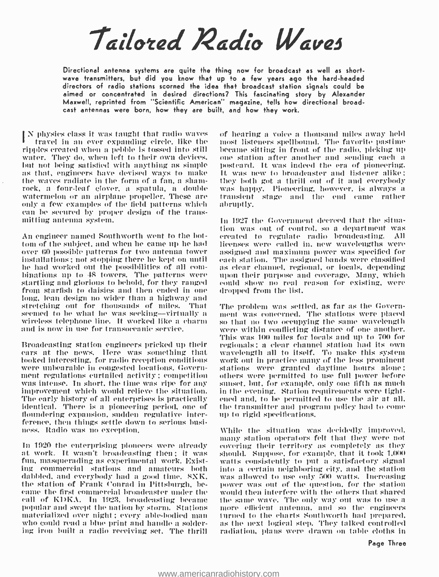# Tailored Radio Waves

Directional antenna systems are quite the thing now for broadcast as well as short- wave transmitters, but did you know that up to a few years ago the hard -headed directors of radio stations scorned the idea that broadcast station signals could be aimed or concentrated in desired directions? This fascinating story by Alexander Maxwell, reprinted from 'Scientific American'' magazine, tells how directional broadcast antennas were born, how they are built, and how they work.

IN physics class it was taught that radio waves the hearing a voice a thousand miles away held<br>travel in an ever expanding circle, like the most listeners spellbound. The favorite pastime<br>ripples created when a pebble is t ripples created when a pebble is tossed into still water. They do, when left to their own devices, —one station after another and sending each a<br>but not being satisfied with anything as simple — postcard. It was indeed the era of pioneering. but not being satistiod with anything as simple as that, engineers have devised ways to make the waves radiate in the form of a fan. a shamrock, a four-leaf clover, a spatula, a double was happy. Pioneering, however, is always a watermelon or an airplane propeller. These are only a few examples of the field patterns which can he secured by proper design of the transmitting antenna system.

An engineer named Southworth went to the bottom of the subject, and when he came tip he hail over 60 possible patterns for two antenna tower installations; not stopping there he kept on until binations up to 48 towers. The patterns were — upon their purpose an startling and glorious to behold, for they ranged — could show no real from starfish to daisies and then ended in one — dropped from the list.<br>Iom starfi stretching out for thousands of miles. That seemed to be what he was seeking—virtually a ment was concerned. The stations were placed<br>wireless telephone line. It worked like a charm so that no two occupying the same wavelength<br>and is now in use for transoceanic serv and is now in use for transoceanic service.

ears at the news. Here was something that looked interesting. for radio reception conditions were unbearable in congested locations. Governwere unbearable in congested locations, Govern-curtations were granted daytime hours alone; ment regulations curtailed activity; competition was were permitted to use full power before was rineprovement which would relieve identical. There is a pioneering period, one of the transmitter and prog<br>floundering expansion, sudden regulative inter- up to rigid specifications. floundering expansion. sudden regulative interference, then things settle down to serious busi- ness. Radio was no exception.

In 1920 the enterprising pioneers were already at work. It wasn't broadcasting then: it was fan, masquerading as experimental work. Existing commercial stations and amateurs both dabbled, and everybody had a good time. SXK, the station of Frank Conrad in Pittsburgh, be- came the first commercial broadcaster under the eall of KDKA. In 1923, broadcasting became – the same wave. The only way out was to use a popular and swept the nation by storm. Stations – more -efficient -antenna, and -so--the--engineers popular and swept the nation by storm. Stations — more -efficient -antenna, -and -so--the--engineers<br>materialized over night ; every -able-bodied man — turned to the charts Southworth had prepared. materialized over night; every able-bodied man<br>who could read a blue print and handle a soldering iron built a radio receiving set. The thrill

of hearing a voice a thousand miles away held one station after another and sending each a transient stage and the end came rather abruptly.

In 1927 the Government decreed that the situation was out of control, so a department was created to regulate radio broadcasting. All licenses were called in, new wavelengths were as clear channel, regional, or locals, depending upon their purpose and coverage. Many, which could show no real reason for existing, were

Broadcasting station engineers pricked up their regionals; a clear channel station had its own The problem was settled, as far as the Government was concerned. The stations were placed This was 100 miles for locals and up to 700 for wavelength all to itself. To make this system work out in practice many of the less prominent others were permitted to use full power before sunset, but. for example, only one fifth as much in the evening. Station requirements were tightened and. to be permitted to use the air at all. the transmitter and program policy had to come

> While the situation was decidedly improved. many station operators felt that they were not. covering their territory as completely as they should. Suppose, for example, that it took 1,001 watts consistently to put a satisfactory signal was allowed to use only 500 watts. Increasing power was out of the question, for the station would then interfere with the others that shared the same wave. The only way out was to use a more efficient antenna, and so the engineers<br>turned to the charts Sonthworth had prepared.<br>as the next logical step. They talked controlled radiation. plans were drawn on table cloths in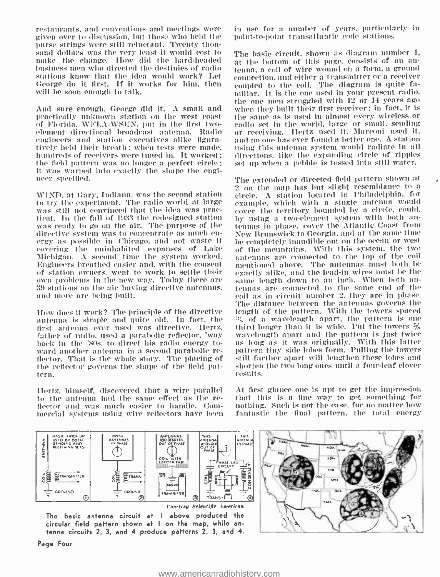restaurants, and conventions and meetings were given over to discussion. but those who held the purse strings were still reluctant. Twenty thousand dollars was the very least it would cost to The hasic circuit, shown as diagram number 1, make the change. How did the hard-headed at the bottom of this page, consists of an anmake the change. How did the hard-headed business men who directed the destinies of radio stations know that the idea would work? Let George do it first. If it works for him, then will be soon enough to talk.

And sure enough. George did it. A small and practically unknown station on the west coast — the same as is used in almost every wireless or<br>of Florida, WFLA-WSUN, put in the first two- — radio set in the world, large or small, sending element directional broadcast antenna. Radio - or receiving. Hertz used it. Marconi used it. engineers and station executives alike figura- tively held their breath ; when tests were made. hundreds of receivers were tuned in. It worked; the field pattern was no longer a perfect circle; it was warped into exactly the shape the engi- neer specified.

to try the experiment. 'l'he radio world at large was still not convinced that the idea was pracwas still not convinced that the idea was pracetic cover the territory bounded by a circle, could, tical. In the fall of 1933 the redesigned station the purpose of the station was ready to go ou the air. The purpose of the directive system was to concentrate as much en- ergy as possible in Chicago, and not waste it covering the uninhabited expanses of Lake Michigan. A second time the system worked. Engineers breathed easier and, with the consent  $\frac{1}{2}$  mentioned above. The antennas must both be of station owners, went to work to settle their  $\frac{1}{2}$  exactly alike, and the lead-in wires must be the of station owners, went to work to settle their exactly alike, and the lead-in wires must be the own problems in the new way. Today there are same length down to an inch. When both an-39 stations on the air having directiv 39 stations on the air having directive antennas, and more are being built.

How does it work? The principle of the directive —length of the pattern. With the towers spaced<br>antenna is simple and quite old. In fact, the - % of a wavelength apart, the pattern is one antenna is simple and quite old. In fact, the first antenna ever used was directive. Hertz, third-longer than it is wide. Put the towers %<br>father of radio, used a parabolic reflector, 'way — wavelength apart and the pattern is just twice father of radio. used a parabolic reflector, 'way back in the 'SOs, to direct his radio energy to-<br>ward another antenna in a second parabolic reflector. That is the whole story. The placing of the reflector governs the shape of the field pattern.

to the antenna had the same effect as the re- flector and was much easier to handle. Commercial systems using wire reflectors have been in muse for a number of years. particularly in point -to -point transatlantic code stations.

The basic circuit. shown as diagram number 1, tenna, a coil of wire wound on a form. a ground connection. and either a transmitter or a receiver coupled to the coil. The diagram is quite familiar. It is the one mused in your present radio. the one men struggled with 12 or 14 years ago when they built their first receiver ; in fact, it is the same as is used in almost every wireless or and no one has ever found a better one. A station using this antenna system would radiate in all directions. like the expanding circle of ripples set up when a pebble is tossed into still water.

 $\frac{2}{2}$  on the map has but slight resemblance to a WIND, at Gary, Indiana, was the second station  $\frac{2}{2}$  on the map has but slight resemblance to a The extended or directed field pattern shown at circle. A station located in Philadelphia, for example, which with a single antenna would tennas in phase, cover the Atlantic Coast from New Brunswick to Georgia. and at the same time be completely inaudible out on the ocean or west of the mountains. With this system, the two antennas are connected to the top of the coil mentioned above. The antennas must both be same length down to an inch. When both ancoil as in circuit number 2. they are in phase. The distance between the antennas governs the length of the pattern. With the towers spaced third longer than it is wide. Put the towers  $\frac{5}{8}$ as long as it was originally. With this latter pattern tiny side lobes form. Pulling the towers still farther apart will lengthen these lobes and shorten the two long ones until a four -leaf clover results.

Hertz, himself, discovered that a wire parallel — At first glance one is apt to get the impression<br>to the antenna had the same effect as the re- — that this is a fine way to get something for At first glance one is apt to get the impression nothing. Such is not the case, for no matter how fantastic the final pattern, the total energy



Page Four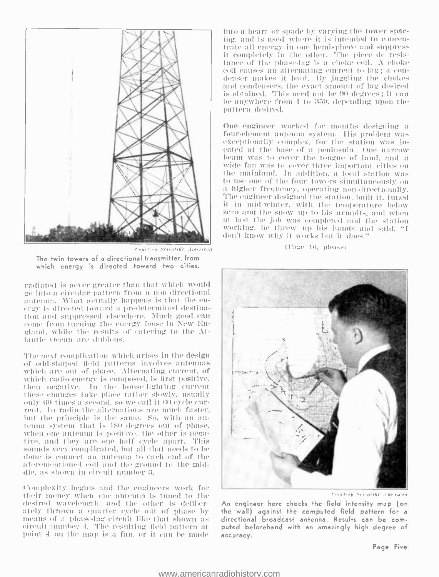

The twin towers of a directional transmitter, from which energy is directed toward two cities.

radiated is never greater than that which would go into a circular pattern from a non-directional antenna. What actually happens is that the energy is directed toward a predetermined destination and suppressed elsewhere. Much good can come from turning the energy loose in New England, while the results of catering to the Atlantic Ocean are dubious.

The next complication which arises in the design of odd-shaped field patterns involves antennas which are out of phase. Alternating current, of which radio energy is composed, is first positive, then negative. In the house-lighting current these changes take place rather slowly, usually only 60 times a second, so we call it 60 eyele current. In radio the alternations are much faster, but the principle is the same. So, with an autenna system that is 180 degrees out of phase. when one autenna is positive, the other is negative, and they are one half cycle apart. This sounds very complicated, but all that needs to be done is connect an auteuna to each end of the aferementioned coil and the ground to the middle, as shown in circuit number 3.

Complexity begins and the engineers work for their money when one antenna is tuned to the desired wavelength, and the other is deliberately thrown a quarter cycle out of phase by means of a phase-lag circuit like that shown as circuit number 4. The resulting field pattern at point 4 on the map is a fan, or it can be made into a heart or spade by varying the tower spacing, and is used where it is intended to concentrate all energy in one hemisphere and suppress it completely in the other. The piece de resistance of the phase-lag is a choke coil. A choke coil causes an alternating current to lag; a condenser makes it lead. By juggling the chokes and condensers, the exact amount of lag desired is obtained. This need not be 90 degrees: it can be anywhere from 1 to 359, depending upon the pattern desired.

One engineer worked for months designing a four-element antenna system. His problem was exceptionally complex, for the station was loeated at the base of a peninsula. One narrow<br>beam was to cover the tongue of land, and a wide fan was to cover three important cities on the mainland. In addition, a local station was to use one of the four towers simultaneously on a higher frequency, operating non-directionally, The engineer designed the station, built it, tuned it in mid-winter, with the temperature below zero and the snow up to his armpits, and when at last the job was completed and the station working, he threw up his hands and said, "I don't know why it works but it does."

#### (Page 10, please)



Courtesy Secontific American

An engineer here checks the field intensity map (on the wall) against the computed field pattern for a directional broadcast antenna. Results can be computed beforehand with an amazingly high degree of accuracy.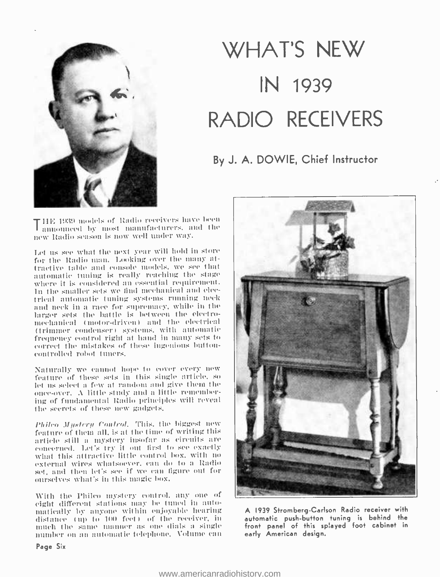

# WHAT'S NEW IN 1939 RADIO RECEIVERS

# By J. A. DOWIE, Chief Instructor

THE 1939 models of Radio receivers have been announced most manufacturers. and the new Radio season is now well under way.

Let us see what the next year will hold in store for the Radio man. Looking over the many attractive table and console models, we see that automatic tuning is really reaching the stage where it is considered au essential requirement. In the smaller sets we find mechanical and electrical automatic toning systems running neck and neck in a race for supremacy. while in the larger sets the battle is between the electromechanical (motor-driven) and the electrical (trimmer condenser) systems. with automatic frequency control right at hand in many sets to correct the mistakes of these ingenious buttuncontrolled robot tuners.

Naturally we cannot hope to cover every new feature of these sets in this single article. So let us select a few at random and give them the once-over. A little study and a little remembering of fundamental Radio principles will reveal the secrets of these new gadgets.

Philco  $Mystery$  Control. This, the biggest new feature of them all, is at the time of writing this article still a mystery insofar as circuits are concerned. Let's try it out first to see exactly<br>what this attractive little control box, with no external wires whatsoever, can do to a Radio set, and then let's see if we can ligure ont for ourselves what's in this magic box.

With the Phileo mystery control, any one of eight different stations may be tuned in automatically by anyone within enjoyable hearing distance (up to 100 feet) of the receiver, in much the same manner as one dials a single number on an automatic telephone. Volume can



A 1939 Stromberg-Carlson Radio receiver with automatic push -button tuning is behind the front panel of this splayed foot cabinet in early American design.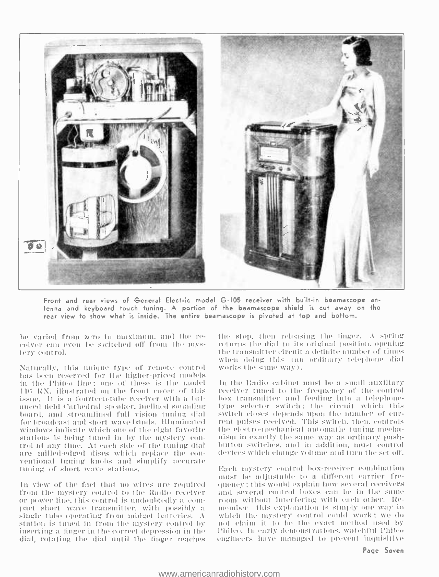

Front and rear views of General Electric model G -I05 receiver with built -in beamascope an tenna and keyboard touch tuning. A portion of the beamascope shield is cut away on the<br>rear view to show what is inside. The entire beamascope is pivoted at top and bottom.

he varied from zero to maximum, and the re-<br>ceiver can even be switched off from the mystery control.

Naturally, this unique type of remote control has been reserved for the higher-priced models in the l'hileo lino: one of these is the t.todel liti UN. illustrated mtu the front cover of this issue. It is a fourteen-tube receiver with a balanced field Cathedral speaker, inclined sounding type selector switch; the circuit which this board, and streamlined full vision tuning dial – switch closes depends upon the number of eur-<br>for broadcast and short wave-bands. Hhuninated – rent pulses received. This switch, then, controls for broadcast and short wave bands. Illuminated windows indicate which one of the eight favorite<br>stations is being tuned in by the mystery control at any time. At each side of the tuning dial - button switches, and in addition, must control are milled-edged dises which replace the conventional tuning knobs and simplify accurate tuning of short wave stations.

In view of the fact that no wires are required from the mystery control to the Radio receiver — and several control boxes can be in the same<br>or power-line, this control is undoubtedly a com- — room without interfering with each other. Reor power line, this control is undoubtedly a compact short wave transmitter, with possibly a single tube operating from midget batteries.  $\Lambda$ station is tuned in from the mystery control by — not -claim it to be the exact method used by<br>inserting a finger in the correct depression in the — Philco. In early demonstrations, watchful Philco inserting a finger in the correct depression in the dial, rotating the dial until the finger reaches

the stop, then releasing the tinger.  $\Lambda$  spring return, the dial to its original position. opening the transmitter circuit a definite number of times tyhen doing this tan ordinary telephone dial works the same way).

In the Radio cabinet must be a small auxiliary receiver tuned 10 the frequency of the control box transmitter and feeding into a telephoneswitch closes depends upon the number of curthe electro-mechanical automatic tuning mechanism in exactly the same way as ordinary pushdevices which change volume and turn the set off.

Each mystery control box- receiver combination must be adjustable to a different carrier frequency ; this would explain how several receivers and several control boxes can be in the same member this explanation is simply one way in which the mystery control could work; we do not claim it to be the exact method used by engineers have managed to prevent inquisitive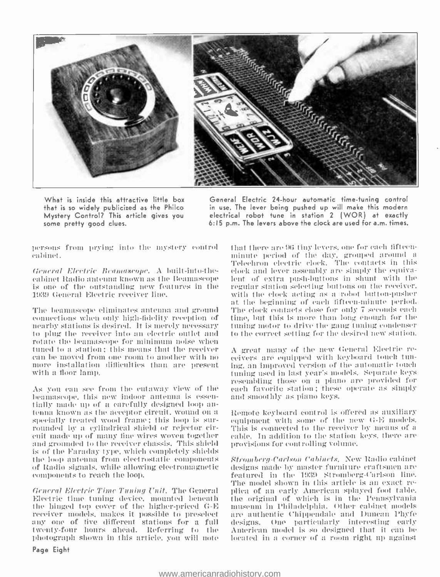

What is inside this attractive little box that is so widely publicized as the Philco Mystery Control? This article gives you some pretty good clues.

General Electric 24 -hour automatic time -tuning control in use. The lever being pushed up will make this modern electrical robot tune in station 2 (WOR) at exactly 6:15 p.m. The levers above the clock are used for a.m. times.

persons from prying urto the mystery control cabinet.

General Electric Beamascope. A built-into-thecabinet Radio antenna known as the Ieamascope is one of the outstanding new features in the 1939 General Electric receiver line.

The beamascope eliminates antenna and ground connections when only high- lidelily reception of nearby stations is desired. It is merely necessary to plug the receiver into an electric outlet and rotate the beamascope for minimum noise when<br>tuned to a station; this means that the receiver - A great many of the new General Electric recan be moved from one room to another with no more installation difficulties than are present with a floor lamp.

As you can see from the cutaway view of the benmascope, this new indoor antenna is essentially made up of a carefully designed loop antenna known as the acceptor circuit, wound on a specially treated wood frame ; this loop is surfaced of rounded by a cylindrical shi rounded by a cylindrical shield or rejector cir- – This is connected to the receiver by means of a<br>cuit made up of many tine wires woven together – cable. In addition to the station keys, there are<br>and grounded to the rece is of the faraday type, which completely shields the loop antenna from electrostatic components of Radio signals, while allowing electromagnetic components to reach the loop.

Electric time tuning device, mounted beneath the hinged top cover of the higher-priced G-E — museum in Philadelphia. Other cabinet models receiver models, makes it possible to preselect — are authentic Chippendale and Duncan Phyfe receiver models, makes it possible to preselect any one of five different stations for a full – designs. One - particularly - interesting - early<br>twenty-four - hours - ahead. - Referring - to - the - American model is so designed that it can be twenty -four hours ahead. Referring to the photograph shown in this article, you will note

that there are 96 tiny levers, one for each fifteen-Telechron electric clock. The contacts in this dock and lever assembly are simply the equivalent of extra push-buttons in shunt with the regular station selecting buttons on the receiver. with the clock acting as a robot button-pusher at the beginning of each fifteen-minute period. 'l'he clock contacts close for only 7 seconds each time, but this is more than long enough for the tuning motor to drive the gang tuning condenser to the correct setting for the desired new station.

ceivers are equipped with keyboard touch tuning. an improved version of the automatic touch tuning used in last year's models. Separate keys resembling those on a piano are provided for each favorite station; these operue as simply and smoothly as piano keys.

Remote keyboard control is offered as auxiliary equipment with some of the new G-E models. cable. In addition to the station keys, there are provisions for controlling volume.

General Electric Time Tuning Unit. The General — plica of an early American splayed foot table.<br>Electric time tuning device, mounted beneath — the original of which is in the Pennsylvania Stromberg-Carlson Cabinets. New Radio cabinet designs made by master furniture craftsmen are featured in the 1939 Stromberg-Carlson line. The model shown in this article is an exact remuseum in Philadelphia. Other cabinet models designs. One particularly interesting early located in a corner of a room right up against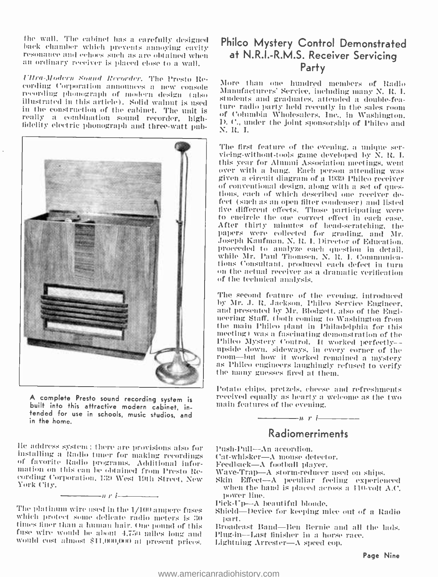the wall. The cabinet has a carefully designed back chamber which prevents annoying cavity resonance and echoes such as are obtained when an ordinary receiver is placed close to a wall.

17hu- 1 /ndcvw ,s'uand Recorder. 'l'he Presto R' eording Corporation announces a new console Manufacturers' Service, including many N. R. I. illustrated in this article). Solid walnut is used in the construction of the cabinet. The unit is really a combination sound recorder, high-<br>fidelity electric phonograph and three-watt pub-



A complete Presto sound recording system is built into this attractive modern cabinet, intended for use in schools, music studios, and in the home.

lie address system; there are provisions also for<br>installing a Radio tuner for making recordings<br>of favorite Radio programs. Additional information on this can be obtained from Presto Re-<br>mation on this can be obtained fro

17 r <sup>i</sup>

The platinum wire used in the  $1/100$  ampere fuses — Shield—Device for keeping mice<br>which protect some delicate radio meters is 30 — part.<br>times finer than a human hair, One pound of this — Broadcast Band—Ben Bernie an<br>fu

# Philco Mystery Control Demonstrated at N.R.I.-R.M.S. Receiver Servicing Party

More than one hundred members of Radio Manufacturers' Service, including many N. It. I. students and graduates, attended a double -feaof Columbia Wholesalers, Inc., in Washington.<br>D. C., under the joint sponsorship of Phileo and N. R. I.

The first feature of the evening, a unique ser-<br>vicing-without-tools game developed by N. R. I.<br>this year for Alumni Association meetings, went over with a bang. Each person attending was<br>given a circuit diagram of a 1939 l'hilco receiver of conventional design, along with a set of ques-<br>tions, each of which described one receiver defect (such as an open filter condenser) and listed live different effects. '('hose participating were to encircle the one correct effect in each case. After thirty minutes of head -scratching, the papers were collected for grading, and Mr. Joseph Kaufman, N. R. I. Director of Education. proceeded to analyze each question in detail. tions Consultant, produced each defect in turn<br>on the actual receiver as a dramatic verification of the technical analysis.

The second feature of the evening, introduced<br>by Mr. J. R. Jackson, Philco Service Engineer. and presented by Mr. Blodgett, also of the Engi-<br>neering Staff, tboth coming to Washington from<br>the main Philco plant in Philadelphia for this meeting) was a fascinating demonstration of the<br>Phileo Mystery Control. It worked perfectly---<br>upside down, sideways, in every corner of the<br>room---but how it worked remained a mystery<br>as Phileo engineers laughingly refuse

Potato chips. pretzels. cheese and refreshments received equally as hearty a welcome as the two main features of the evening.

# Radiomerriments

- Push-Pull--An accordion.
- Cat-whisker— $\Lambda$  mouse detector.<br>Feedback— $\Lambda$  football player.
- 
- 

 $\overline{\phantom{a}}$   $\overline{\phantom{a}}$   $\overline{\phantom{a}}$   $\overline{\phantom{a}}$   $\overline{\phantom{a}}$   $\overline{\phantom{a}}$   $\overline{\phantom{a}}$   $\overline{\phantom{a}}$   $\overline{\phantom{a}}$   $\overline{\phantom{a}}$   $\overline{\phantom{a}}$   $\overline{\phantom{a}}$   $\overline{\phantom{a}}$   $\overline{\phantom{a}}$   $\overline{\phantom{a}}$   $\overline{\phantom{a}}$   $\overline{\phantom{a}}$   $\overline{\phantom{a}}$   $\overline{\$ 

- Wave-Trap—A storm-reducer used on ships.<br>Skin Effect—A peculiar feeling experienced<br>when the hand is placed across a 110-volt A.C. power line.
- Pick-Up---A beautiful blonde.
- Shield-Device for keeping mice out of a Radio
- Broadcast Band-Ben Bernie and all the lads. Plug-in---Last finisher in a horse race.
-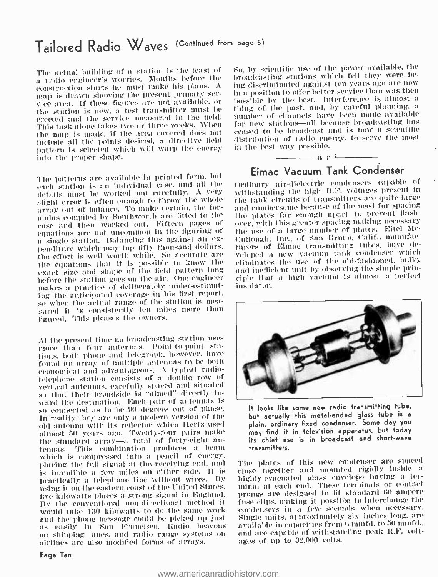# Tailored Radio Waves (Continued from page 5)

The actual building of a station is the least of a radio engineer's worries. Months before the construction starts he must make his plans. A —ing discriminated against ten years ago are now<br>map is drawn showing the present primary ser- —in a position to offer better service than was then map is drawn showing the present primary ser-<br>vice area. If these figures are not available, or possible by the best. Interference is almost a<br>the station is new, a test transmitter must be thing of the past, and, by caref erected and the service measured in the field. This task alone takes two or three weeks. When the map is made, if the area covered does not include all the points desired. a directive field pattern is selected which will warp the energy into the proper shape.

The patterns are available in printed form. but each station is an individual case, aml all the details must be worked out carefully. A very slight error is often enough to throw the whole array out of balance. To make certain. the formulas compiled by Southworth are fitted to the each plates far enough apart to prevent flash-<br>ease and then worked out. Fifteen pages of eaver, with this greater spacing making necessary equations are not uncommon in the figuring of<br>a single station. Balancing this against an expenditure which may top fifty thousand dollars. the effort is well worth while. So accurate are the equations that it is possible to know the exact size and shape of the field pattern long lieftire the station goes on the air. One engineer makes a practice of deliberately under-estimating the anticipated coverage in his first report. sured it is consistently ten miles more than figured. This pleases the owners.

At the present time no broadcasting station uses more than four antennas. Point-to-point stations. both phone and telegraph, however. have found an array of multiple antennas to be both economical and advantageous. A typical radiotelephone station consists of a double row of vertical antennas. carefully spaced and situated so that their broadside is "aimed" directly toward the destination. Each pair of antennas is so connected as to be 90 degrees out of phase. In reality they are only a modern version of the old antenna with its reflector which Hertz used almost 50 years ago. Twenty -four pairs make the standard array—a total of forty-eight an-<br>tennas. This combination produces a beam which is compressed into a pencil of energy. placing the full signal at the receiving end, and — The plates of this new condenser are spaced<br>is inaudible a few miles on either side. It is — close together and mounted rigidly inside a is inaudible a few miles on either side. It is practically a telephone line without wires. By using it on the eastern coast of the United States. five kilowatts places a strong signal in England. By the conventional non -directional method it would take 130 kilowatts to do the same work as easily in San Francisco. Radio beacons<br>on shipping lanes, and radio range systems on<br>airlines are also modified forms of arrays.

So. by scientific use of the power available, the broadcasting stations which felt they were being discriminated against ten years ago are now thing of the past, and, by careful planning, a for new stations-all because broadcasting has ceased to be broadcast and is now a scientific distribution of radio energy, to serve the most in the best way possible.



th'divary air -dielectric condensers capable of withstanding the high WE. voltages present in the tank circuits of transmitters are quite large and cumbersome because of the need for spacing the plates far enough apart to prevent flashthe use of a large number of plates. Eitel Mc-Cullough, Inc., of San Bruno. Calif.. manufacturers of Eimac transmitting tubes, have developed a new vacuum tank condenser which eliminates the use of the old -fashioned, balky and inefficient nuit by observing the simple principle that a high vacuum is almost a perfect insulator.



It looks like some new radio transmitting tube, but actually this metal -ended glass tube is a plain, ordinary fixed condenser. Some day you may find it in television apparatus, but today its chief use is in broadcast and short-wave transmitters.

The plates of this new condenser are spaced highly evacuated glass envelope having a terminal at each end. These terminals or contact prongs are designed to fit standard 60 ampere fuse clips, making it possible to interchange the condensers in a few seconds when necessary. Single units, approximately six inches long, are available in capacities from 6 mmfd. to 50 mmfd.. and are capable of withstanding peak R.F. voltages of up to 32,000 volts.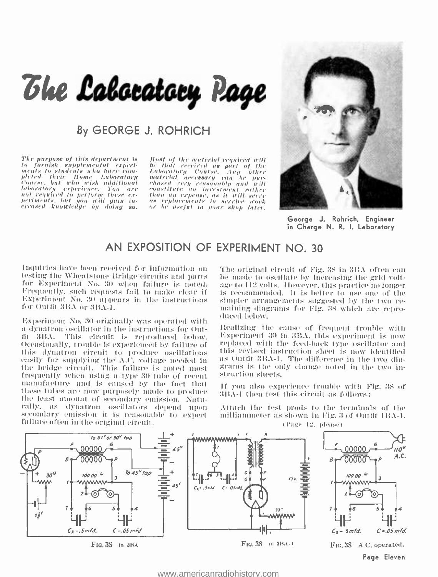# The Labocatory Page

# By GEORGE J. ROHRICH

The purpose of this department is to furnish supplemental experiments to students who have completed their Home Laboratory Course, but who wish additional Concess, our concession of the concession of the concession of the concession of the concession of the concession of the concession of the concession of the concession of the concession of the concession of the concession

Most of the material required will be that received as part of the Laboratory Course, Any **Cother**  $\begin{tabular}{ll} material & necessary & can & be\\ c) the scale & very reward by and will be\\ constant rate & an increased event - rather\\ than an expense, as it will serve\\ as replacement for the sequence. \\ or be useful in more when \end{tabular}$ or be aseful in your shop later.



George J. Rohrich, Engineer in Charge N. R. I. Laboratory

# AN EXPOSITION OF EXPERIMENT NO. 30

Inquiries have been received for information on testing the Wheatstone Bridge circuits and parts for Experiment No. 30 when failure is noted. Frequently, such requests fail to make clear if Experiment No. 30 appears in the instructions for Outfit 3BA or 3BA-1.

Experiment No. 30 originally was operated with a dynatron oscillator in the instructions for Outfit 3BA. This circuit is reproduced below. Occasionally, trouble is experienced by failure of this dynatron circuit to produce oscillations easily for supplying the A.C. voltage needed in the bridge circuit. This failure is noted most frequently when using a type 30 tube of recent manufacture and is caused by the fact that these tubes are now purposely made to produce the least amount of secondary emission. Naturally, as dynatron oscillators depend upon secondary emission it is reasonable to expect failure often in the original circuit.

The original circuit of Fig. 38 in 3BA often can be made to oscillate by increasing the grid voltage to 112 volts. However, this practice no longer is recommended. It is better to use one of the simpler arrangements suggested by the two remaining diagrams for Fig. 38 which are reproduced below.

Realizing the cause of frequent trouble with Experiment 30 in 3BA, this experiment is now replaced with the feed-back type oscillator and this revised instruction sheet is now identified as Outfit 3BA-1. The difference in the two diagrams is the only change noted in the two instruction sheets.

If you also experience trouble with Fig. 38 of 3BA-1 then test this circuit as follows:

Attach the test prods to the terminals of the milliammeter as shown in Fig. 3 of Outfit 1BA-1. (Page 12, please)



www.americanradiohistory.com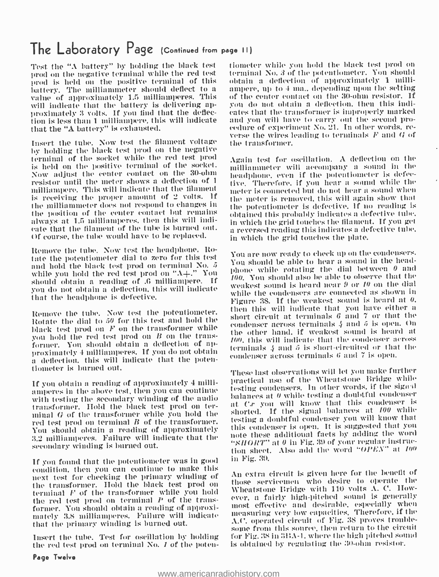# The Laboratory Page (Continued from page II)

prod on the negative terminal while the red test prod is held on the positive terminal of this value of approximately 1.5 milliamperes. This will indicate that the battery is delivering approximately 3 volts. If you find that the deflection is less than 1 milliampere, this will indicate that the "A battery" is exhausted.

by holding the blade test prod on the negative terminal of the socket while the red test prod is held on the positive terminal of the socket. resistor until the meter shows a deflection of 1<br>milliampere. This will indicate that the filament is receiving the proper amount of 2 volts. If the milliammeter does not respond to changes in the position of the center contact but remains<br>always at 1.5 milliamperes, then this will indi-<br>in which the grid touches the filament. If you get always at 1.5 milliamperes, then this will indirate that the filament of the tube is burned out. Of course, the tube would have to be replaced.

Remove the tube. Now test the headphone. Rotate the potentiometer dial to zero for this test and hold the black test prod on terminal No.  $5$ while you hold the red test prod on " $\Lambda +$ ." You should obtain a reading of .0 milliampere. If you do not obtain a deflection. this will indicate that the headphone is defective.

Remove the tube. Now test the potentiometer. Then this will indicate that you have either a Rotate the dial to 50 for this test and hold the black test prod on  $F$  on the transformer while you hold the red test prod on B on the transformer. You should obtain a deflection of approximately 4 milliamperes. If you do not obtain a deflection, this will indicate that the potentiometer is burned out.

If you obtain a reading of approximately 4 milliamperes in the above test, then you can continue the sum condensers. In other words, if the sign is with testing the secondary winding of the audio transformer. Hold the black test prod on terminal G of the transformer while you hold the red test prod on terminal  $B$  of the transformer. You should obtain a reading of approximately 3.2 milliamperes. Failure will indicate that the secondary winding is burned out.

If you found that the potentiometer was in good condition. then you can continue to make this next test for checking the primary winding of terminal  $F$  of the transformer while you hold the red test prod on terminal P of the transformer. You should obtain a reading of approximately 3.8 milliamperes. Failure will indicate that the primary winding is burned out.

Insert the tube. Test for oscillation by holding the red test prod on terminal No. I of the poten-

Test the "A battery" by holding the black test - tiometer while you hold the black test prod on  $\frac{1}{100}$  verse the wires leading to terminals F and G of Insert the tube. Now test the filament voltage the transformer. terminal No. 3 of the potentiometer. You should obtain a deflection of approximately 1 milliampere, up to 4 ma., depending upon the setting of the center contact on the 30 -ohm resistor. If you do not obtain a deflection, then this indicates that the transformer is improperly marked cedure of experiment No. 21. In other words, rethe transformer.

> Again test for oscillation. A deflection on the rnilliauuneter will accompany a sound in the headphone, even if the potentiometer is defective. Therefore. if you hear a sound while the meter is connected but do not hear a sound when the meter is removed, this will again show that the potentiometer is defective. If no reading is obtained this probably indicates a defective tube. a reversed reading this indicates a defective tube. in which the grid touches the plate.

> You are now ready to check up on the condensers. You should be able to hear a sound in the headphone while rotating the dial between  $\theta$  and  $100$ . You should also be able to observe that the weakest sound is heard near  $9$  or  $10$  on the dial while the condensers are connected as shown in Figure 38. If the weakest sound is heard at  $\theta$ . then this will indicate that you have either a condenser across terminals  $\frac{1}{4}$  and  $\frac{1}{2}$  is open. On the other hand, if weakest sound is heard at  $100$ , this will indicate that the condenser across terminals  $4$  and  $5$  is short-circuited or that the condenser across terminals G and 7 is open.

> These last observations will let you make further practical use of the Wheatstone Bridge while testing condensers. In other words, if the signal at Cr' you will know that this condenser is shorted. If the signal balances at 100 while testing a doubtful condenser you will know that this condenser is open. It is suggested that you note these additional facts by adding the word "SIfOKT" at 0 in Fig. 39 of your regular instruction sheet. Also add the word "OPEN" at <sup>100</sup> in Fig. 39.

An extra circuit is given here for the benefit of those servicemen who desire to Operate 11w Wheatstone Bridge with 110 volts A. C. However, a fairly high-pitched sound is generally most effective and desirable. especially when measuring very low capacil ies. Therefore, if the A.C. operated circuit of Fig. 38 proves trouble- some from Ilai..onree. them return to the circuit for Fig. 38 in 3BA-1, where the high pitched sound is obtained by regulating the 30-ohm resistor.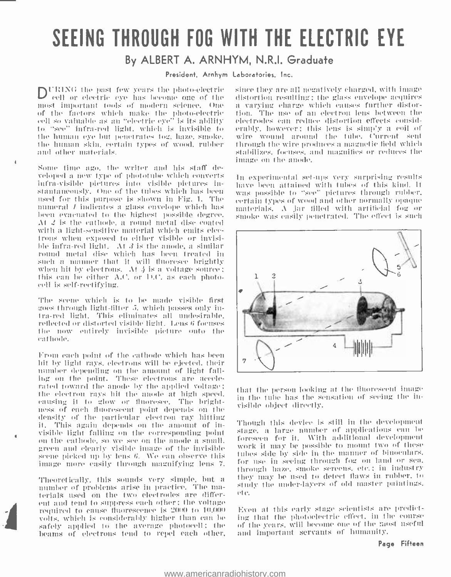# SEEING THROUGH FOG WITH THE ELECTRIC EYE

# By ALBERT A. ARNHYM, N.R.I. Graduate

President. Arnhym Laboratories. Inc.

DURING the past few years the photo-electric cell or electric eye has become one of the most important tools of modern science. One of the factors which make the photo-electric cell so valuable as an "electric eye" is its ability to "see" infra-red light, which is invisible to the human eve but penetrates fog, haze, smoke, the human skin, certain types of wood, rubber and other materials.

Some time ago, the writer and his staff developed a new type of phototube which converts infra-visible pictures into visible pictures instantaneously. One of the tubes which has been used for this purpose is shown in Fig. 1. The numeral *I* indicates a glass envelope which has been evacuated to the highest possible degree. At 2 is the cathode, a round metal disc coated with a light-sensitive material which emits electrons when exposed to either visible or invisible infra-red light. At  $\beta$  is the anode, a similar round metal disc which has been treated in such a manner that it will thoresee brightly when hit by electrons. At  $\frac{1}{2}$  is a voltage source;<br>this can be either A.C. or D.C. as each photocell is self-rectifying.

The scene which is to be made visible first goes through light-filter 5, which passes only intra-red light. This eliminates all undesirable. reflected or distorted visible light. Lens 6 focuses the now entirely invisible picture outo the cathode.

From each point of the cathode which has been hit by light rays, electrons will be ejected, their number depending on the amount of light falling on the point. These electrons are accelerated toward the anode by the applied voltage; the electron rays hit the anode at high speed. eausing it to glow or fluoresce. The brightness of each fluorescent point depends on the density of the particular electron ray hitting it. This again depends on the amount of invisible light falling on the corresponding point on the cathode, so we see on the anode a small. green and clearly visible image of the invisible scene picked up by lens 6. We can observe this image more easily through magnifying lens 7.

Theoretically, this sounds very simple, but a number of problems arise in practice. The materials used on the two electrodes are different and tend to suppress each other; the voltage required to cause fluorescence is 2000 to 10,000 volts, which is considerably higher than can be safely applied to the average photocell; the beams of electrons tend to repel each other, since they are all negatively charged, with image distortion resulting; the glass envelope acquires a varying charge which causes further distortion. The use of an electron lens between the electrodes can reduce distortion effects considerably, however; this lens is simply a coil of wire wound around the tube. Current sent through the wire produces a magnetic field which stabilizes, focuses, and magnifies or reduces the image on the anode.

In experimental set-ups very surprising results have been attained with tubes of this kind. It was possible to "see" pictures through rubber, certain types of wood and other normally opaque materials. A jar filled with artificial fog or smoke was easily penetrated. The effect is such



that the person looking at the fluorescent image in the tube has the sensation of seeing the invisible object directly.

Though this device is still in the development stage, a large number of applications can be foreseen for it. With additional development work it may be possible to mount two of these tubes side by side in the manner of binoculars. for use in seeing through fog on land or sea. through haze, smoke screens, etc.; in industry they may be used to detect flaws in rubber, to study the under-layers of old master paintings. ete.

Even at this early stage scientists are predicting that the photoelectric effect, in the course of the years, will become one of the most useful and important servants of humanity.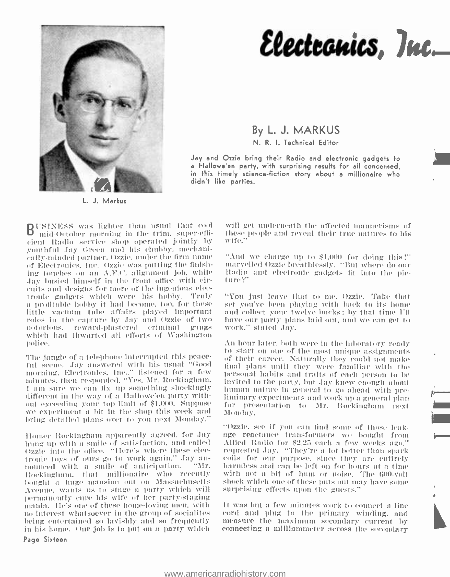

L. J. Markus

# Electronics, Inc.

### By L. J. MARKUS N. R. I. Technical Editor

Jay end Ozzie bring their Radio and electronic gadgets to a Hallowe'en party, with surprising results for all concerned, in this timely science -fiction story about a millionaire who didn't like parties.

USINESS was lighter than usual that cool - wi mid October morning in the trim, super-efficient Radio crcice shop operated jointly by youthful Jay Green and his chubby, mechanically-minded partner. Ozzie. under the firm name of Electronics, Inc. Ozzie was putting the finishing touches on an A.F.C. alignment job, while Radio and electronic gadgets fit into the pic-<br>Lev busied binself in the front office with cir-Jay busied himself in the front office with circuits and designs for more of the ingenious electronic gadgets which were his hobby. Truly a profitable hobby it had become, too, for these little varunnt tube affairs played important roles in the capture by .lay and Ozzie of two notorious, reward-plastered criminal gungs which had thwarted all efforts of Washington po I <sup>i</sup>oe.

The jangle of a telephone interrupted this peace-The jangle of a telephone interrupted this peace-coof their career. Naturally they could not make<br>ful scene. Jay answered with his usual "Goodec final plans until they were familiar with the morning. Electronics. Inc.." listened for a few minutes. then responded. "Yes. Mr. Rockingham. I am sure we can fix up something shockingly human nature in general to go ahead with predifferent in the way of a Hallowe'en party without exceeding your top limit of \$1.000. Suppose for presentation to Mr. Rockingham next<br>we experiment a bit in the shop this week and Monday bring detailed plans over to you next Monday."

Homer Rockingham apparently agreed, for Jay – age reactance transformers, we bought, from<br>hung up with a smile of satisfaction, and called – Allied Radio for \$2,25 each a few weeks ago." hung up with a smile of satisfaction, and called Ozzie into the office. "Here's where these electronic toys of ours go to work again." Jay an- coils for our purpose, since they are entirely nounced with a smile of anticipation. "Mr. harmless and can be left on for hours at a time Rockingham. that millionaire who recently bought a huge mansion out on Massachusetts shock which one of these puts out may Avenue, wants us to stage a party which will surprising effects upon the guests." Avenue. wants us to stage a party which will permanently cure his wife of her party-staging mania. He's one of these home-loving men, with the state of a few minutes work to connect a line<br>no interest whatsoever in the group of socialites to cordinate plug to the primary winding, and<br>being entertained so lavishly being entertained so lavishly and so frequently — measure the maximum secondary current by<br>in his home. Our job is to put on a party which — connecting a milliammeter across the secondary in his home. Our Job is to put on a party which Page Sixteen

will get underneath the affected mannerisms of these people and reveal their true natures to his wife."

"And we charge up to \$1.000 for doing this'" marvelled Ozzie breathlessly. "But where do our

"You just leave that to me. Ozzie. Take that set you've been playing with hack to its home and collect your twelve buchs: by that time I'll have our party plans laid out. and we can get to work," stated Jay.

An hour later, both were in the laboratory ready to start on one of the most unique assignments final plans until they Were familiar with the personal habits and traits of each person to be invited to the party, but Jay knew enough about. liminary experiments and work up a general plan Monday.

"Ozzie, see if you can find some of those leakage reactance transformers we bought front requested Jay. "They're a lot better than spark with not a bit of hum or noise. The 600-volt shock which one of these puts out may have some

It was but a few minutes work to connect a line It was but a few minutes work to connect a line cord and plug to the primary winding, and measure the maximum secondary current by connecting a milliammeter across the secondary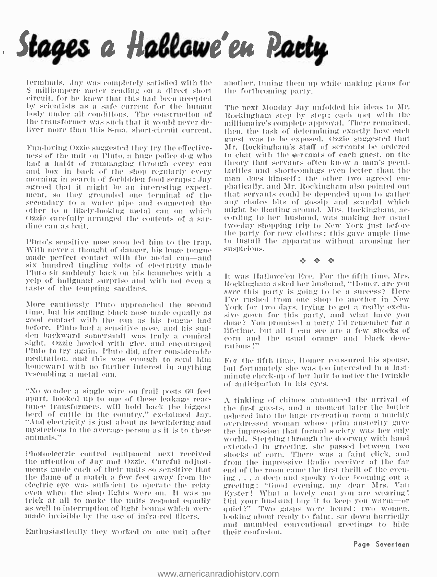

terminals. Jay was completely satisfied with the <sup>S</sup>milliampere meter reading on a direct short circuit, for he knew that this had been accepted by scientists as a safe current for the human – The next Monday Jay unfolded his ideas to Mr. body under all conditions. The construction of the transformer was such that it would never deliver more than this S-ma. short-circuit current.

Fun -loving Ozzie suggested they try the effective- ness of the unit on Pinto, a litige police dog who had a habit of rummaging tlreotigh every can and box in hack of the shop regularly every morning in search of forbidden food scraps; Jay agreed that it might be an interesting experiment. so they grounded one terminal of the secondary to a water pipe and connected the other to a likely-looking metal can on which — might be floating around. Mrs. Rockingham, ac-<br>Ozzie carefully arranged the contents of a sar- — cording to her husband, was making her usual Ozzie carefully arranged the contents of a sar- dine can as hait.

Pluto's sensitive nose soon led him to the trap.<br>With never a thought of danger, his huge tongue<br>made perfect contact with the metal can—and six hundred tingling volts of electricity made yelp of indignant surprise and with not even a taste of the tempting sardines.

More cautiously Pluto approached the second<br>time, but his sniffing black nose made equally as good contact with the can as his tongue had<br>before. Pluto had a sensitive nose, and his sudden backward somersault was truly a comical sight. Ozzie howled with glee, and encouraged votations!"<br>Pluto to try again. Pluto did, after considerable meditation, and this was enough to send him homeward with no further interest in anything resembling a metal can.

"No wonder a single wire on frail posts 60 feet<br>apart, hooked up to one of these leakage reactance transformers, will hold back the biggest the first guests, and a moment later the butler herd of cattle in the country," exclaimed Jay. Thered into the huge recreation room a muchly "And electricity is just about as mysterious to the average person as it is to these animals."

Photoelectric control equipment next received the attention of Jay and Ozzie. Careful adjustments made each of their units so sensitive that and of the room came the first thrill of the even-<br>the flame of a match a few feet away from the  $\frac{1}{2}$  ing ... a deep and spooky voice booming out a the flame of a match a few feet away from the<br>electric eye was sufficient to operate the relay even when the shop lights were on. It was no<br>trick at all to make the units respond equally<br>as well to interruption of light beams which were<br>made invisible by the use of infra-red filters,

Enthusiastically they worked on one unit after

another, tuning them up while making plans for the forthcoming party.

Rockingham step by step; each met with the millionaire's complete approval. There remained. then, the task of determining exactly how each guest was to be exposed. Ozzie suggested that Mr. Itockingham's staff of servants be ordered to chat with the servants of each guest, on the theory that servants often know a man's pecul-<br>iarities and shortcomings even better than the<br>man does himself ; the other two agreed em-<br>phatically, and Mr. Rockingham also pointed out that servants could he depended upon to gather any choice bits of gossip and scandal which might be floating around. Mrs. Rockingham, actwo-day shopping trip to New York just before the party for new clothes; this gave ample time to install the apparatus without arousing her suspicions.

0 0

It was Hallowe'en Eve. For the fifth time, Mrs.<br>Rockingham asked her husband, "Homer, are you sure this party is going to be a success? Here I've rushed from one shop to another in New York for two days, trying to get a really exclusive gown for this party, and what have you<br>done? You promised a party I'd remember for a lifetime, but all I can see are a few shocks of

For the fifth tine, Homer reassured his spouse, lint fortunately she was ton interested in a lastminute check -up of her hair to notice the twinkle of anticipation in his oyes.

A finkling of chimes announced the arrival of the first guests, and a moment later the butler ushered into the huge recreation room a mnchly overdressed woman whose prim austerity gave world. Stepping through the doorway with hand extended in greeting, she passed between two shocks of corn. There was a faint click, and from the impressive Radio receiver at the far greeting: "Good evening, my dear Mrs. Van Eyster! What a lovely coat you are wearing! Did your husband buy it to keep you warm—or quiet '?' Two gasps were heard; two women, looking about ready to faint, sat down hurriedly and mumbled conventional greetings to hide their confusion.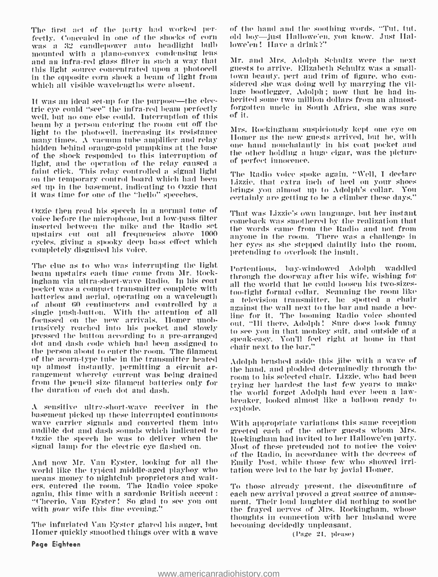The first act of the party had worked per-<br>fectly. Concealed in one of the shocks of corn was a 32 candlepower auto headlight bulb mounted with a plano-convex condensing lens and an infra-red glass filter in such a way that this light source concentrated upon a photocell – guests to arrive. Elizabeth Schultz was a small-<br>in the quosite corn shock a beam of light from – town beauty, pert and trim of figure, who conin the opposite corn shock a Kan of light from which all visible wavelengths were absent.

It was an ideal set-up for the purpose—the electric eye could "see" the infra-red beam perfectly forgotten uncle in South Africa, she was sure<br>well but no one also could. Interruption of this of it. well. but no one else could. Interruption of this beam by a person entering the room cut off the light to the photocell, increasing its resistance the Recklashan suspectorsly kept one eye on<br>many times the manual take applitum and what . Homer as the new guests arrived, but he, with many times. A vacuum tube amplifier and relay the means are new guests arrived, but he, with<br>hidden habind amour relative problem at the base to the hand nonchalantly in his coat pocket and hidden behind orange -gold pumpkins at the base of the shock responded to this interruption of the other holding a light, and the operation of the relay caused a the perfect innocence. faint click. This relay controlled a signal light<br>on the temporary control board which had been set up in the basement, indicating to Ozzie that it was time for one of the "hello' speeches.

Ozzie then read his speech in a normal tone of voice before the microphone, but a low -pass filter inserted between the mike and the Radio set upstairs cut out all frequencies above 1000 cycles, giving a spooky deep bass effect which completely disguised his voice.

The clue as to who was interrupting the light. beam upstairs each time cause from Mr. Rockingham via ultra short -wave Radio. in his coat pocket was a compact transmitter complete with<br>batteries and aerial, operating on a wavelength to telephism transmitter has must color like of about 60 centimeters and controlled by a single wall next to the bur and made a be-<br>single push-button. With the attention of all single for it. The booming Radio voice shouted focussed on the new arrivals. Homer unob-<br>trusively reached into his pocket and slowly trusively reached into his pocket and slowly to see you in that monkey suit, and outside of a<br>pressed the button according to a pre-arranged dot and dash code in that dot and dash code which had been assigned to alimbre to the person about to enter the room. The filament of the acorn -type tube in the transmitter heated rangement whereby current was being drained room to his selected chair. Lizzie, who had been from the pencil size filament batteries only for the duration of each dot and dash.

 $\Lambda$  sensitive ultre-short-wave receiver in the basement picked up these interrupted continuous wave carrier signals and converted them into audible dot and dash sounds which indicated to Ozzie the speech he was to deliver when the signal lamp for the electric eye flashed on.

And now Mr. Van Eyster. looking for all the means money to nightclub proprietors and waiters, entered the room. The Radio voice spoke again, this time with a sardonic British accent : "each new arrival proved a great source of amuse-<br>"Cheerio. Van Eyster!" So glad to see you out "ment. Their loud laughter did nothing to soothe with *your* wife this fine evening."

The infuriated Van Eyster glared his anger, but - becoming decidedly unpleasant. Homer quickly smoothed things over with a wave

of the hand and the soothing words. "Tut, tut, old boy--just Hallowe'en, you know. Just Hallowe'en! Have a drink?"

Mr. and Mrs. Adolph Schultz were the nest guests to arrive. Elizabeth Schultz was a smalllage bootlegger, Adolph; now that he had inherited some two million dollars from an almost-

Mrs. Rockingham suspiciously kept one eye on the other holding a huge cigar, was the picture

'l'he Radio voice spoke again. "Well, I declare Lizzie, that extra inch of heel on your shoes brings you almost up to Adolph's collar. You certainly are getting to be a climber these days."

That was Lizzie's own language, but her instant comeback was smothered by the realization that the words came from the Radio and not from anyone in the room. There was a challenge in her eyes as she stepped daintily into the room, pretending to overlook the insult.

I'o'teations, bay -windowed Adolph waddled through the doorway after his wife. wishing for all the world that he could loosen his two-sizesa television transmitter, he spotted a chair against the wall next to the bar and made a beeout. "Ili there. Adolph! Sure does look funny speak-easy. You'll feel right at home in that chair next to the bar.'

Adolph brushed aside this jibe will: a wave of the hand, and plodded determinedly through the trying her hardest the last few years to make the world forget Adolph had ever been a lawbreaker, looked almost like a balloon ready to explode.

With appropriate variations this same reception greeted each of the other guests whom Mrs. Rockingham had invited to her HIallowe'en party. Most of these pretended not to notice the voice of the Radio, in accordance with the decrees of Emily Post. while those few who showed irritation were led to the bar by jovial Homer.

To those already present. the discomfiture of each new arrival proved a great source of amusethe frayed nerves of Mrs. Rockingham, whose thoughts in connection with her husband were

(Page 21, please)

#### Page Eighteen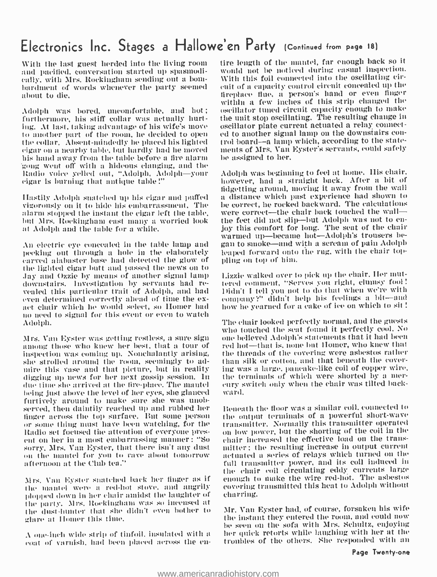# Electronics Inc. Stages a Hallowe'en Party (Continued from page 18)

With the last guest herded into the living room and pacified, conversation started up spasmodically. with Mrs. Rockingham sending out a bombardment of words whenever the party seemed about to die.

Adolph was bored, uncomfortable, and hot; furthermore, his stiff collar was actually hurting. At last, taking advantage of his wife's move — oscillator plate current actuated a relay connect-<br>to another part of the room, he decided to open — ed to another signal lamp on the downstairs con-<br>the collar. Absent-n the collar. Absent -mindedly he placed his lighted eig:ir on a nearby table. but hardly had he moved his hand away from the table before a fire alarm 'gong went off with a hideous clanging. and the Radio voice yelled out, "Adolph. Adolph—your<br>cigar is burning that antique table!"

Hastily Adolph snatched up his cigar and puffed — a distance which past experience had shown to<br>vigorously on it to hide his embarrassment. The — be correct, he rocked backward. The calculations vigorously on it to hide his embarrassment. The alarm stopped the instant the cigar left the table, were correct—the chair back touched the wall—<br>but Mrs. Rockingham cast many a worried look —the feet did not slip—but Adolph was not to enlint Mrs. Itockinghani east many a worried look at Adolph and the table for a while.

An electric eye concealed in the table lamp and peeking out through a hole in the elaborately carved alabaster base had detected the glow of the lighted cigar butt and passed the news on to Jay and Ozzie by means of another signal lamp — Lizzie walked over to pick up the chair. Her mut-<br>downstairs. Investigation by servants had re- — tered comment, "Serves you right, clumsy fool! vealed this particular trait of Adolph, and had<br>even determined correctly ahead of time the ex-<br>act chair which he would select, so Homer had<br>no need to signal for this event or even to watch Adolph.

Mrs. Van Eyster was getting restless, a sure sign among those who knew her best. that a tour of inspection was coming up. Nonchalantly arising, — the threads of the covering were asbestos rather<br>she strolled around the room, seemingly to ad- — than silk or cotton, and that beneath the coversite strolled around the room, seemingly to admire this vase and that picture, but in reality digging up news for her next gossip session. lu due time she arrived at the tire-place. The mantel — cury switch only when the chair was tilted backbeing just above the level of her eyes, she glanced furtively around to make sure she was unobserved, then daintily reached up and rubbed her — Beneath the floor was a similar coil, connected to<br>finger across the top surface. But some person — the ontput terminals of a powerful short-wave linger across the top surface. But some person or some thing must have been watching, for the transmitter. Normally this transmitter operated<br>Radio set focused the attention of everyone pres- the low power, but the shorting of the coil in the Radio set focused the attention of everyone present on her in a most embarrassing manner: "So sorry, Mrs. Van Eyster, that there isn't any dust on the nututei for you to rave about tomorrow afternoon at the Club tea."

 $Nrs$ . Van Eyster snatched back her finger as if  $-$  en the mantel were a red-hot stove, and angrily  $-$  co 111011011 ilotyu ill her chair amidst the laughter of the party. Mrs. Rockingham was so incensed at the dust hunter that she didn't even bother to glare at Homer this time.

 $\Lambda$  one-inch wide strip of tinfoil, insulated with a coat of varnish, had been placed across the en-

tire length of the mantel, far enough back so it would not be noticed during casual inspection. With this foil connected into the oscillating circuit of a capacity control circuit concealed up the fireplace flue, a person's hand or even linger within a few inches of this strip changed the oscillator tuned circuit capacity enough to make the unit stop oscillating. The resulting change in oscillator plate current actuated a relay connected to another signal lamp on the downstairs conments of Mrs. Van Eyster's servants, could safely be assigned to her.

Adolph was beginning to feel at home. Ills chair. however, had a straight back. After a bit of fidgetting around, moving it away from the wall a distance which past experience had shown to were correct-the chair back touched the walljoy this comfort for long. The seat of the chair warmed up-became hot-Adolph's trousers began to smoke—and with a scream of pain Adolph leaped forward onto the rug, with the chair toppling on top of him.

Lizzie walked over to pick up the chair. Her mut-Didn't I tell you not to do that when we're with company?" didn't help his feelings a bit-and how he yearned for a cake of ice on which to sit

The chair looked perfectly normal, and the guests<br>who touched the seat found it perfectly cool. No one believed Adolph's statements that it had been red hot-that is, none but Homer, who knew that the threads of the covering were asbestos rather ing was a large, pancake-like coil of copper wire. the terminals of which were shorted by a merward.

Beneath the floor was a similar coil, connected to transmitter. Normally this transmitter operated chair increased the effective load on the transmitter; the resulting increase in output current actuated a series of relays which turned on the full transmitter power, and its coil induced in the chair coil circulating eddy currents large enough to make the wire red-hot. The asbestos covering transmitted this heat to Adolph without charring.

Mr. Van Eyster had, of course, forsaken his wife be seen on the sofa with Mrs. Schultz, enjoying her quick retorts while laughing with her at the troubles of the others. She responded with an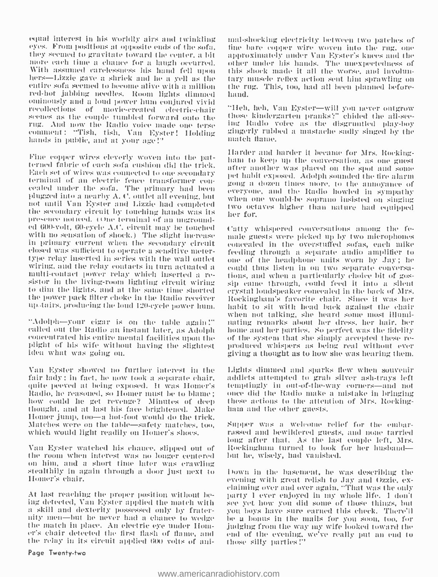equal interest in his worldly airs and twinkling eyes. From positions at opposite ends of the sofa. — tine-bare-copper-wire woven into the rug, one<br>they seemed to gravitate toward the center, a bit — approximately under Van Eyster's knees and the more each time a chance for a laugh occurred. With assumed carelessness his hand fell upon – this shock made it all the worse, and involun-<br>hers—Lizzie gave a shriek and he a yell as the – tary muscle reflex action sent him sprawling on entire sofa seemed to become alive with a million red -hot jabbing needles. Boom lights dimmed ominously and a loud power hum conjured vivid<br>recollections – of – movie-created – electric-chair – "Heh, heh, Van Eyster—will you never outgrow scenes as the couple tumbled forward onto the  $\frac{1}{2}$  those kindergarten pranks?" chided the all-see-<br>rug. And now the Radio voice made one torse  $\frac{1}{2}$  Radio voice as the disgruntled play-boy rug. And now the Radio voice made one terse comment: "Tish, tish, Van Eyster! Holding hands in public, and at your age!"

terminal of an electric fence transformer con-<br>cealed under the sofa. The primary had been - cearryone, and the Radio howled in sympathy<br> plugged into a nearby A. t'. outlet all evening, but not until Van Eyster and Lizzie had completed two octaves higher than nature had equipped<br>the secondary circuit by touching hands was its her for.<br>presence noticed, (One terminal of an ungrounded. 600-volt, 60-cycle A.C. circuit may be touched with no sensation of shock.) The slight increase in primary current when the secondary circuit concealed in the overstuffed sofas, each mike<br>closed was sufficient to operate a sensitive meter- feeding through a senarate andio amplifier to closed wits sufficient to operate a sensitive meter - type relay inserted in series with the wall outlet wiring, and the relay contacts in turn actuated a model thus listen in on two separate conversamulti-contact power relay which inserted a re-<br>sistor in the living-room lighting circuit wiring sip came through, could feed i the power pack tiller choke in the Radio receiver ill- tairs. producing the loud 120 -cycle power hunt.

"Adolph -your cigar is on the table again!" called out the Radio an instant later, as Adolph concentrated his entire mental facilities upon the plight of his wife without having the slightest idea what was going on.

Van Eyster showed no further interest in the fair lady; in fact, he now took a separate chair, addicts attempted to grab silver ash-trays left quite peeved at being exposed. It was Homer's attemptingly in out-of-the-way corners—and not Radio, he reasoned, so Homer mu Radio, he reasoned, so Homer must be to blame;<br>how could he get revenge? Minutes of deep thought, and at last his face brightened. Make haim and the other guests. Homer jump, too-a hot-foot would do the trick. Matches were on the table- safety matches, too, which would light readily on Hunter's shoes.

Van Eyster watched his chance, slipped out of the room him, and a short time later was crawling<br>the room in the basement, he was describing the<br>Homer's chair. The short in the second on the short relish to Jay and Ozzie, ex-Ilumer's chair.

At last reaching the proper position without be-<br>ing detected, Van Eyster applied the match with a skill and dexterity possessed only by frater-<br>nity-men—but he never had a chance to wedge the match in place. An electric eye under Homer's chair detected the first flash of flame, and the relay in its circuit applied 600 volts of animal-shocking electricity between two patches of tine bare copper wire woven into the rug, one other under his hands. The unexpectedness of this shock made it all the worse, and involunthe rug. This, too, had all been planned beforehand.

those kindergarten pranks?" chided the all-seegingerly rubbed a mustache sadly singed by the match flame.

Fine copper wires cleverly-woven into the pat- Harder and harder it became for Mrs. Rocking-<br>terned fabric of each sofa cushion did the trick. The another was placed on the spot and some<br>Each set of wires was connected to after another was placed on the spot and some pet habit exposed. Adolph sounded the fire alarm gong a dozen times more, to the annoyance of when one would be soprano insisted on singing her for.

> Putty whispered conversations among the female guests were picked up by two microphones one of the headphone units worn by Jay; he sip came through, could feed it into a silent crystal loudspeaker eoncealed in the back of Mrs. Ituckingham's favorite chair. since it was her habit to sit with head back against the chair when not talking. she heard some most illuminating remarks about her dress, her hair, her home and her parties. So perfect was the fidelity<br>of the system that she simply accepted these reproduced whispers as being real without ever<br>giving a thought as to how she was hearing them.

> Lights dimmed and sparks flew when souvenir addicts attempted to grab silver ash-trays left these actions to the attention of Mrs. Rocking-

> Supper was a welcome relief for the embarrassed and bewildered guests, and noue tarried long after that. As the last couple left, Mrs. Rockingham turned to look for her husbandbut he, wisely, had vanished.

> Down in the basement, he was describing the elaiming over and over again, "That was the only party I ever enjoyed in my whole life. I don't see yet how you did some of those things, but you buys have sure earned this check. There'll be a bonus in the mails for you soon, too, for judging from the way my wife looked toward the end of the evening, we've really put an end to those silly parties!"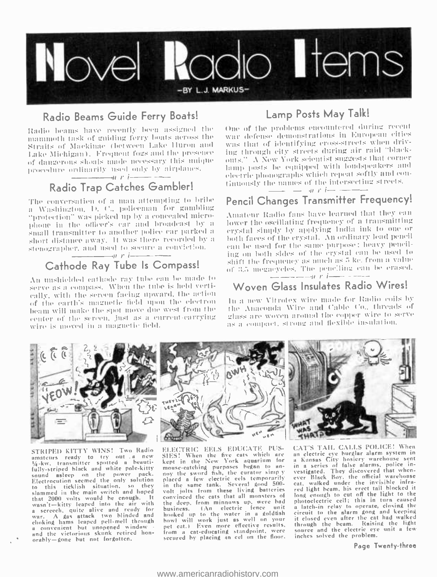

# Radio Beams Guide Ferry Boats!

Radio beams have recently been assigned the mammoth task of guiding ferry boats across the Straits of Mackinac (between Lake Huron and Lake Michigan). Frequent fogs and the presence of dangerous shoals made necessary this unique procedure ordinarily used only by airplanes.  $\rightarrow$  r i  $\rightarrow$ 

# Radio Trap Catches Gambler!

The conversation of a man attempting to bribe a Washington, D. C., policeman for gambling "protection" was picked up by a concealed microphone in the officer's car and broadcast by a small transmitter to another police car parked a short distance away. It was there recorded by a stenographer, and used to secure a conviction.  $\rightarrow$   $\mu$   $\mu$   $\rightarrow$   $-$ 

# Cathode Ray Tube Is Compass!

An unshielded cathode ray tube can be made to serve as a compass. When the tube is held vertically, with the sereen facing upward, the action of the earth's magnetic field upon the electron beam will make the spot move due west from the center of the screen, just as a current-carrying wire is moved in a magnetic field.

# Lamp Posts May Talk!

One of the problems encountered during recent war defense demonstrations in European cities was that of identifying cross-streets when driving through city streets during air raid "blackouts." A New York scientist suggests that corner lamp posts be equipped with loudspeakers and electric phonographs which repeat softly and continuously the names of the intersecting streets.

 $\pi r$   $-$ 

# Pencil Changes Transmitter Frequency!

Amateur Radio fans have learned that they can lower the oscillating frequency of a transmitting crystal simply by applying India ink to one or both faces of the crystal. An ordinary lead pencil can be used for the same purpose; heavy penciling on both sides of the crystal can be used to shift the frequency as much as 5 ke, from a value of 3.5 megacycles. The pencling can be crased.  $\frac{1}{\sqrt{2}}$  and  $\frac{1}{\sqrt{2}}$  and  $\frac{1}{\sqrt{2}}$  is  $\frac{1}{\sqrt{2}}$  and  $\frac{1}{\sqrt{2}}$  and  $\frac{1}{\sqrt{2}}$  and  $\frac{1}{\sqrt{2}}$ 

# Woven Glass Insulates Radio Wires!

In a new Vitrotex wire made for Radio coils by the Anaconda Wire and Cable Co., threads of glass are woven around the copper wire to serve as a compact, strong and flexible insulation.



STRIPED KITTY WINS! Two Radio amateurs ready to try out a new fully-striped black and white pole-kitty sound asleep on the power pack.<br>Electrocution seemed the only solution to this ticklish situation, so they<br>slammed in the main switch and hoped<br>that 2000 volts would be enough. It<br>wasn't-kitty leaped into the air with wasn t-with putch alive and ready for<br>war. A gas attack two blinded and<br>choking hams leaped pell-melt through a convenient but unopened window orably-gone but not forgotten.

ELECTRIC EELS EDUCATE PUS-EXECUTION TO THE SECTION OF STEEL When the five eats which are<br>kept in the New York aquarium for<br>mouse-eatching purposes began to an-<br>moy the sword fish, the curator simply placed a few electric cels temporarily<br>in the same tank. Several good 500volt jolts from these living batteries convinced the cats that all monsters of the deep, from minnows up, were bad one accept to the electric fence unit<br>hooked up to the water in a goldish<br>howl will work just as well on your<br>pet cat.) Even more effective results, from a cat-educating standpoint, were<br>secured by placing an eel on the floor.

CAT'S TAIL CALLS POLICE! When son electric eye burglar alarm system in<br>a Kansas City hosiery warehouse sent<br>in a series of false alarms, police in-<br>vestigated. They discovered that when-<br>ever Black Boy, the official warehouse cat, walked under the invisible infrared light beam, his erect tail blocked it long enough to cut off the light to the photoelectric cell; this in turn caused a latch-in relay to operate, closing the circuit to the alarm gong and keeping it closed even after the cat had walked through the beam. Raising the light<br>source and the electric eye unit a few<br>inches solved the problem.

Page Twenty-three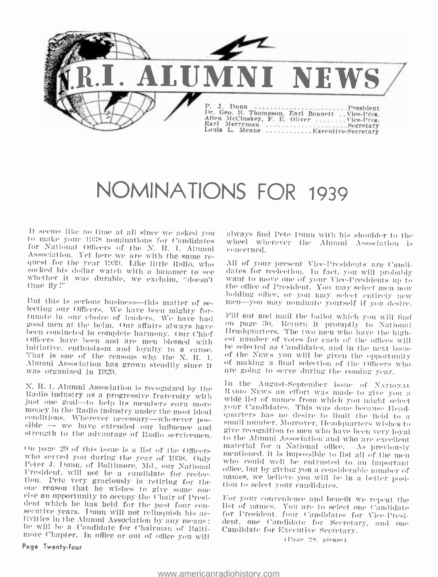

# NOMINATIONS FOR 1939

It seems like no time at all since we asked you<br>to make your 1938 nominations for Candidates<br>for National Officers of the N, R, I, Alumni<br>Association, Yet here we are with the same re-<br>quest for the year 1939. Like little

But this is serious business—this matter of selecting our Officers. We have been mighty for-<br>tunate in our choice of leaders. We have had<br>good men at the helm. Our affairs always have<br>been conducted in complete harmony. Ou

who could well be entrusted to an important<br>Peter J, Dum, of Baltimore, Md., our National<br>President, will not be a candidate for reelec-<br>mames, we believe you will be in a better posi-<br>tion. Pete very graciously is retirin

Page Twenty -four

always find fete Dunn with his shoulder to the wheel wherever the Alumni Association is concerned.

All of your present Vice-Presidents are Candi-<br>dates for reelection. In fact, you will probably<br>want to move one of your Vice-Presidents up to<br>the office of President. You may select men now<br>holding office, or you may sele

Fill out and mail the ballot which you will tind<br>on page 30. Return it promptly to National<br>Headquarters. The two men who have the high-<br>est number of votes for each of the offices will be selected as Candidates, and in the next issue<br>of the NEWs you will be given the opportunity of making a final selection of the Officers who are going to serve during the coming year.

N. R. I. Alumni Association is recognized by the<br>
Radio industry as a progressive fraternity with<br>
We invoew an effort was made to give you at the position of give to help its members carn more<br>
just one goal—to help its On page 29 of this issue is a list of the Officers and the mentioned, it is impossible to list all of the mentioned is a list of the Officers and the mentioned is all of the mentioned is all of the mentioned is all of the in the August-September issue of NATIONAL<br>Ramo News an offert way issue of NATIONAL wide list of names from which you might select your Candidates. This was done because Headsmall number. Moreover, Headquarters wishes to mentioned, it is impossible to list all of the men names, we believe you will be in a better posi-

> list of names. You are to select one Candidate dent, one Candidate for Secretary, and one

> > (Page 28, please)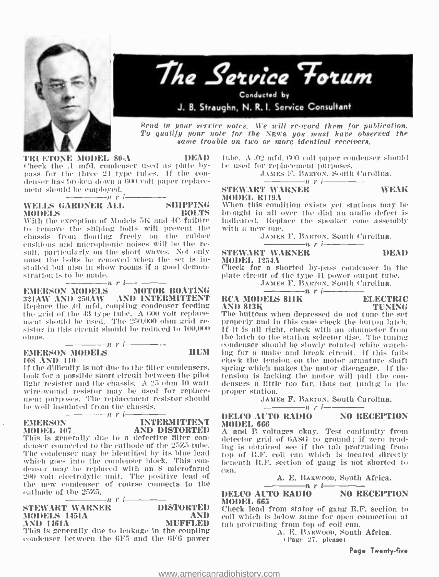



Send in your service notes. We will re-word them for publication. To qualify your note for the NEWS you must have observed the same trouble on two or more identical receivers.

TRLETONE MODEL 80-A DEAD Check the .1 mfd. condenser used as plate bypass for the three 24 type tubes. If the con-<br>denser has broken down a 600 volt paper replacement should be employed.

# NELLS GARDNER ALL SHIPPING<br>MODELS BOLTS

M(111ELS BOLTS With the exception of Models 3I\ and -IC failure to remove the shiping bolts will prevent the chassis from floating freely on the rubber cushions and microphonic noises will be the re-<br>sult, particularly on the short waves. Not only must the bolts he removed when the set is installed but also in show rooms if a good demonstration is to he made.

**EMERSON MODELS**  $n r$  *i* **MOTOR BOATING** EMERSON MODELS — MOTOR BOATING<br>321AW AND 350AW - AND INTERMITTENT - RC Replace the .01 mfd. coupling condenser feeding  $\Delta ND$  813K the grid of the 43 type tube.  $\Delta$  600 volt replace  $\Delta$  The buttons the grid of the grid of the 43.000 voltage of the 41.000 voltage replace  $\mu$  is the 41.600 voltage replace  $\mu$  is the 41.600 voltage - sistor in this circuit should be reduced to 100,000 and the 41.600 voltage replace  $-\frac{n}{n}$ r i $-\frac{n}{n}$ 

#### EMERSON MODELS **HUM** 108 AND 110

1f the difficulty is not due to the filter condensers, look for a possible short circuit between the pilot — tension is lacking the motor will pull the con-<br>light resistor and the chassis. A 25 ohm 10 watt — densers a little too far, thus not tuning in the light resistor and the chassis. A 25 ohm 10 watt wire -wound resistor may be used for replacement purposes. The replacement resistor should be well insulated from the chassis.

 $-\qquad\qquad$ 

# EMERSON INTERMITTENT<br>MODEL 107 AND DISTORTED

MODEL 107 AND DISTORTED A<br>This is generally due to a defective filter con- det<br>denser connected to the cathode of the 25Z5 tube. ing The condenser may be identified by its blue lead which goes into the condenser block. This con-<br>denser may be replaced with an S microfarad denser may be replaced with an 8 microfarad – <sub>can.</sub><br>200 volt electrolytic unit. The positive lead of the new condenser of course connects to the

eathode of the  $25Z5$ .<br>  $\therefore$   $r$  i  $\overline{\qquad}$   $\overline{\qquad}$  DISTORTED STEWART WARNER DISTORTED MODELS 1451A AND AND 1461A MUFFLED This is generally due to leakage in the coupling

condenser between the 6F5 and the 6F6 power

tube. A .02 mfd. 600 volt paper condenser should be used for replacement purposes.

.1Ann's F. Maws, South Carolina.  $n$  r i  $-$ 

#### STEWART WARNER WEAK MODEL R119A

When this condition exists yet stations may be brought in all over the dial an audio defect is indicated. Replace the speaker cone assembly

## JAMES F. BARTON, South Carolina.<br>  $n r i$  - DEAD<br>
T WARNER DEAD STEWART WARNER MODEL 1254A

Check for a shorted by -pass condenser in the plate circuit of the type 41 power output tube.

JAMES F. BARTON, South Carolina.<br>DELS 811K ELECTRIC

# RCA MODELS 811K ELECTRIC

AND 813K TUNING The buttons when depressed do not tune the set If it is all right, check with an ohmmeter from condenser should be slowly rotated while watching for a make and break circuit. If this fails check the tension ou the motor armature shaft spring which makes the motor disengage. If the tension is lacking the motor will pull the con-

proper station.

## JAMES F. BARTON, South Carolina.<br>  $\overline{n}$  r i  $\overline{n}$  NO RECEPTION DELCO AUTO RADIO MODEL 666

A and B voltages okay. Test continuity from detector grid of 6Á8G to ground ; if zero reading is obtained see if the tab protruding from top of B.F. coil can which is located directly beneath R.F. section of gang is not shorted to can.<br>  $A. E. BARMon, South Africa.$ <br>
DELCO  $A \overline{LTO RADIO}$  NO RECEPTION

#### DELCO AUTO RADIO MODEL 665

Check lead from stator of gang R.F. section to coil which is below same for open connection at tab protruding from top of coil can.<br> $\Lambda$ . E. BARWOOD, South Africa.

Page 27. please)

Page Twenty-five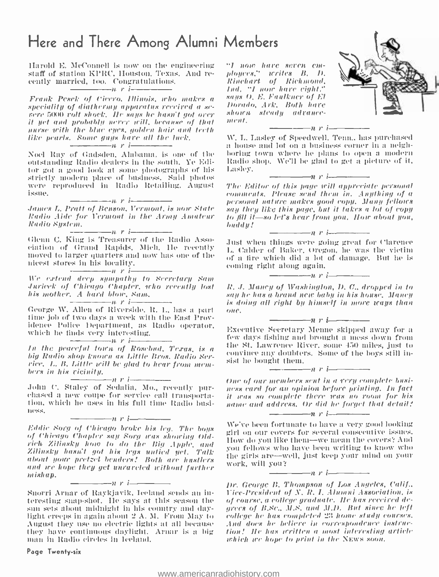# Here and There Among Alumni Members

Harold E. McConnell is now on the engineering staff of station KPRC. Houston, Texas. And recently married, too. Congratulations.  $n \frac{m}{l}$ 

Frank Pesek of Cicero, Illinois, who makes a says (speciality of diathermy apparatus received a se- Dorad cere 5000 roll shock. Ile says he hasn't got ores in the hasn't got ore  $\frac{1}{2}$  shock. Ile saps he has has has ha it yet and probably never will, because of that<br>murse with the blue eyes, golden hair and teeth like pearls. Some guys have all the luck.

Noel Ray of Gadsden. Alabama. is one of the outstanding Radio dealers in the south. Ye Editor got a good look at some photographs of his strictly modern place of business. Said photos<br>were reproduced in Radio Retailing, August<br>issue.

 $-\rightarrow$ n r i $-$ .lanes L. Pratt of Benson. Vermont. is noue Mate Radio Aide for Vermont in the Army Amateur Radio System.

 $-n$  r i $-$ 

Glenn C. King is Treasurer of the Radio Association of Grand Rapids. Midi. Ile recently moved to larger quarters and now has one of the nicest stores in his locality.

n r i

We extend deep sympathy to Secretary Sant .Inrieek of Chicago Chapter. who recently lost his mother. A hard blow, Sant. n r i

George W. Allen of Riverside. R. I., has a hart time job of two days a week with the East Providence Police Department, as Radio operator, which lue finds very interesting.  $\longrightarrow$   $\longrightarrow$   $\longrightarrow$   $\longrightarrow$   $\longrightarrow$   $\longrightarrow$   $\longrightarrow$ 

In the peaceful town of Rosebud, Texas, is a big Radio shop known as Little Bros. Radio Service. L. B. Little trill be glad to hear from mem- bers in his rieinity.

 $-n$  r i $-$ John C. Staley of Sedalia, Mo., recently pur- chased a new couple for service call transporta- that, which he uses in his full time Radio busi- ness. n <sup>r</sup><sup>i</sup>

of Chicago Chapter say Sorg was showing Oldrich Zilinsky how to do the Big Apple, and Zilinsky hasn't got his legs untied yet. Talk about your pretzel benders! Both are hustlers and are hope they get unraveled without further mishap.

 $-\rightarrow$ nr i $-\rightarrow$ 

Snorri Arnar of Raykjavik, Iceland sends an interesting snap-shot. He says at this season the sun sets about midnight in his country and day- grees of B.Sc., M.S. and M.D. But since he left<br>hight creeps in again about 2 A. M. From May to - college he has completed 23 home study courses.<br>August they use no electric August they use no electric lights at all because they have continuous daylight. Arnar is a big man in Radio circles in Iceland.

Page Twenty-six

-1 now hare seven em- ployees," Irrites B. 1). Rinchart of Richmond, N Ind. "I now have eight." maps O. E. Faulkner of El Dorado, Ark. Both have shown steady advance-

![](_page_21_Picture_18.jpeg)

The Editor of this page will appreciate personal<br>comments, Please send them in. Anything of a personal nature makes good copy. Many fellowes say they like this page, but it takes a lot of copy/ to fill it -so let's hear front you. /lour about yon, buddy! nri

Just when things were going great for Clarence L. Calder of Baker, Oregon, he was the victim of a fire which did a lot of damage. But he is coming right along again.

- --- -ttt'i

R. J. Mancy of Washington, D. C., dropped in to say he has a brand new baby in his house. Maney is doing all right by himself in more ways than

Executive Secretary Menne skipped away for a few days tishing and brought a mess down from the St. Lawrence River, some 450 miles, just to convince any doubters. Some of the boys still insist he bought them.<br> $\frac{1}{\sqrt{1-\frac{1}{n}}}\frac{1}{\sqrt{1-\frac{1}{n}}}}$ 

 $-n r$  i

One of our members sent in a very complete busi ness card for an opinion before printing. In fact it was so complete there was no room for his none and address. Or did he forget that detail.'

We've been fortunate to have a very good looking girl on our covers for several consecutive issues. How do you like them--we mean the covers? And you fellows who have been writing to know who the girls are—well, just keep your mind on your work, will you?<br> $\frac{1}{\sqrt{1-\frac{1}{n}}}\frac{1}{\sqrt{1-\frac{1}{n}}}}$ 

 $\longrightarrow$ n r i $\longrightarrow$ 

Dr. George B. Thompson of Los Angeles, Calif., Vice -President of N. R. L Alumni Association, is of course, a college graduate. Ne Iras reetired degrecs of B.Sc., M.N. and M.D. But since he left college he has completed 23 home study courses. tion! Ile has written a most interesting article which are hope to print in the NEWS 800n.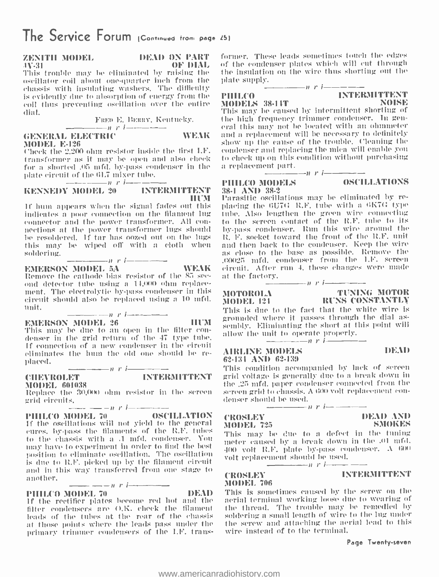# ZENITH MODEL DEAD ON l'ART

IV-31 OF DIAL This trouble may be eliminated by raising the oscillator coil about one-quarter inch from the plate supply. chassis with insulating washers. The difficulty<br>is evidently due to absorption of energy from the  $\blacksquare$  PHHLCO  $\blacksquare$ is evidently due to absorption of energy from the = PHHLCO<br>coil thus preventing oscillation over the entire = MODELS 38-14T = coil thus preventing oscillation over the entire dial.

 $\begin{tabular}{c} \bf 10.0 & \bf 12.0 & \bf 21.0 & \bf 3.0 & \bf 4.0 & \bf 5.0 & \bf 6.0 & \bf 7.0 & \bf 1.0 & \bf 0.0 & \bf 0.0 & \bf 0.0 & \bf 0.0 & \bf 0.0 & \bf 0.0 & \bf 0.0 & \bf 0.0 & \bf 0.0 & \bf 0.0 & \bf 0.0 & \bf 0.0 & \bf 0.0 & \bf 0.0 & \bf 0.0 & \bf 0.0 & \bf 0.0 & \bf 0.0 & \bf 0.0 & \bf 0.0 & \bf 0.0$ **MODEL E-126** 

Check the 2.200 ohm resistor inside the first I.E. transformer as it may be open and also check to check up on this of the a shorted 05 mfd by-pass condenser in the a replacement part. for a shorted .05 mfd. by pass condenser in the plate circuit of the 61.7 mixer tube.<br>  $\frac{n}{\text{F}} \frac{r}{r} \frac{1}{r} = \frac{1}{\text{NTERMITTENT}}$  = 88.

If hum appears when the signal fades out this indicates a poor connection on the filament lug nections at the power transformer lugs should be resoldered. If tar has oozed out on the lugs this may be wiped off with a cloth when and then back to the condenser. Keep the wire<br>soldering as close to the base as possible. Remove the soldering.

 $n \cdot i$ 

Remove the cathode bias resistor of the 85 see-<br>ond detector tube using a 14.000 ohm replacement. The electrolytic by -pass condenser in this circuit should also be replaced using a 10 mfd. unit.  $- r$  i  $--$ 

denser in the grid return of the 47 type tube. If connection of a new condenser in the circuit eliminates the hum the old one should be re- placed. n r i $\frac{1}{\sqrt{2}}$ 

# CHEVROLET INTERMITTENT gri

MODEL 601038<br>Replace the 30,000 ohm resistor in the screen

grid circuits.<br>  $\frac{1}{2}$  of the screen grid circuits  $\frac{1}{2}$  of  $\frac{1}{2}$  oscillation  $\frac{1}{2}$   $\frac{1}{2}$   $\frac{1}{2}$   $\frac{1}{2}$   $\frac{1}{2}$   $\frac{1}{2}$   $\frac{1}{2}$   $\frac{1}{2}$   $\frac{1}{2}$   $\frac{1}{2}$   $\frac{1}{2}$   $\frac{1}{2}$   $\frac{1}{2}$   $\$ if the oscillations will not yield to the general cures, by -pass the filaments of the I1F. tubes to the chassis with a .1 mfd. condenser. You may have to experiment in order to find the best position to eliminate oscillation. The oscillation is due to R.F. picked up by the filament circuit and in this way transferred from one stage to another.<br>  $\begin{array}{r} \n\text{PHLLCO MODEL 70} \\
\text{PHLCO MODEL 70}\n\end{array}$ 

1f the rectifier plates become red hot and the filter condensers are O.K. check the filament leads of the tubes at the rear of the chassis at those points where the leads pass under the primary trimmer condensers of the I.F. trans-

former. These leads sometimes touch the edges of the condenser plates which will cut through the insulation on the wire thus shorting out the plate supply.<br> $\frac{n}{r}$  i  $\frac{n}{r}$  in TNTERMITTENT

![](_page_22_Picture_27.jpeg)

MODELS 38 -14T NOISE This may be caused by intermittent shorting of the high frequency trimmer condenser. In general this may not he located with an ohmmeter and a replacement will be necessary to definitely show up the cause of the trouble. Cleaning the condenser and replacing the mica will enable you to check up on this condition without purchasing

# $\frac{1}{\text{PHLLCO MODELS}}$  and  $\frac{1}{\text{PHLLCO} \cdot \text{MODELS}}$ 38 -1 AND 38 -2

**PHILOPHILE OSCILLATIONS** 

HUM EMERSON MODEL 5A WEAK circuit. After run 4, these changes were made Parasitic oscillations may be eliminated by retube. Also lengthen the green wire connecting to the screen contact of the R.F. tulle to its by -pass condenser. Run this wire around the It. F. socket toward the front of the R.F. unit and then back to the condenser. Keep the wire .00025 mfd. condenser from the LF. screen at the factory.

 $\begin{tabular}{ll} \multicolumn{2}{c|}{\textbf{1}} & $\textbf{r}$ & $\textbf{r} \textbf{t}$ & \multicolumn{2}{c|}{\textbf{1}} \\ \multicolumn{2}{c|}{\textbf{L}} \\ \multicolumn{2}{c|}{\textbf{L}} \\ \multicolumn{2}{c|}{\textbf{L}} \\ \multicolumn{2}{c|}{\textbf{L}} \\ \multicolumn{2}{c|}{\textbf{L}} \\ \multicolumn{2}{c|}{\textbf{L}} \\ \multicolumn{2}{c|}{\textbf{L}} \\ \multicolumn{2}{c|}{\textbf{R}} \\ \multicolumn{2}{c|}{\textbf{R}} \\ \multicolumn{2$ MOTOROLA TUNING MOTOR MOi)EL 124 RUNS CONSTANTLY

**EMERSON MODEL 26** HUM arounded where it passes through the dial as-<br>This may be due to an open in the filter con-<br> $\frac{1}{2}$  Hum the multiple matter constant to expect a requirement. This is due to the fact that the white wire is sembly. Eliminating the short at this point will allow the unit to operate properly.

# AIRLINE MODELS DEAD

62-134 AND 62-139<br>This condition accompanied by lack of screen grid voltage is generally due to a break down in the  $.25$  mfd. paper condenser connected from the ilre .25 mfd. paper condenser connected from the screen grill to chassis. A Ií(10 volt replacement con- denser should be used. n <sup>r</sup>i- - - -- - CROSLEY DEAD AND

# MODEL 725

This may be due to a defect in the tuning meter caused by a break down in the .01 mfd. 400 volt R.F. plate by-pass condenser.  $\Lambda$  600 volt replacement should be used.

# MODEL 706

('ROSLEY INTERMITTENT

This is sometimes caused by the screw on the aerial terminal working loose due to wearing of the thread. The trouble may be remedied by soldering a small length of wire to the lug under the screw and attaching the aerial lead to this wire instead of to the terminal.

#### Page Twenty-seven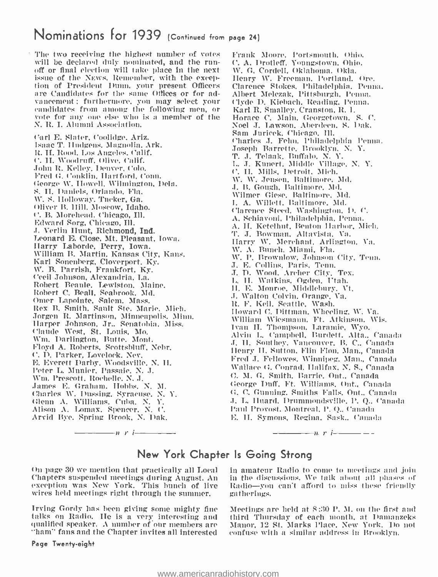# Nominations for 1939 (Continued from page 24)

The two receiving the highest number of votes<br>will be declared duly nominated, and the runoff or final election will take place in the next<br>issue of the News, Remember, with the exception of President Dunn. your present Officers are Candidates for the same Offices or for advancement : furthermore, you may select your candidates from among the following men, or vote for any one else who is a member of the N. R. I. Alumni Association.

r'arl E. Slater, Coolidge, Ariz. Isaac T. ILulgens, Magnolia. Ark. It. H. Rood. Los Angeles. Calif. C. H. Woodruff. Olive. Calif. John R. Kelley. Denver, Colo. Fred G. Conklin, Hartford. Conn. George W. Howell. Wilmington, Dela. S. II. Iauniels. Orlando, Fla. W. S. Holloway. Tucker, Ga. Oliver B. 11ill. Moscow, Idaho. C. B. Morehead. Chicago, Ill. Edward Sorg, Chicago. Ill. .1. Verlin Hunt, Richmond, Ind. Harry Laborde, Perry, Iowa. William B. Martin, Kansas City, Kans. Karl Sonenberg, Cloverport, Ky. W. B. Parrish, Frankfort, Ky. Cecil Johnson, Alexandria, La. Robert Beattie, Lewiston. Maine. Robert C. Beall, Seabrook. Md. Omer Lapointe, Salem. Mass. Rex B. Smith, Sault Ste. Marie. Mich. Jorgen R. Martinson, Minneapolis. Minn. Harper Johnson. Jr.. Senatobia, Miss. Claude West, St. Louis, Mo. \\'m. Darlington, Butte. Mont. Floyd A. Roberts, Scottsbluff. Nebr. C. D. Parker, Lovelock. Nev. E. Everett Darby, Woodsville, N. H. Peter L. Monier, Passaic. N. J. Wm. Prescott, Rochelle, N. J. Tames E. Graham. Hobbs. N. M. Charles \V. bussing, Syracuse, N. Y. Glenn A. Williams. Cuba. N. Y. Alison A. Lomax, Spencer. N. C. Arvid Bye. Spring Brook. N. flak.

Frank Moore, Portsmouth, Ohio. C. A. Drotleff, Youngstown. Ohio. \V. G. Cordell, Oklahoma. Okla. Henry W. Freeman, Portland. Ore. Clarence Stokes, Philadelphia. Penns. Albert Melczak, Pittsburgh. Penna. Clyde D. Klebach, Reading. Penna. Karl R. Smalley, Cranston, R. I. Horace C. Main, Georgetown, S. C. Noel J. Lawson, Aberdeen, S. Dak. Sam Juricek, Chicago. Ill. Charles J. Felm. Philadelphia Penna. Joseph Barrette. Brooklyn, N. Y. T. J. Telaak, Buffalo. N. Y. L. J. Kunert, Middle Village, N. Y. C. H. Mills, Detroit. Mich. W. W. Jensen, Baltimore. Mal. J. B. Gough, Baltimore, Mal. Wilmer Giese. Baltimore. Md. I. A. Willett. Baltimore. Md. Clarence Steed. Washington. D. C. A. Schiavoni. Philadelphia. Penna. A. H. Ketelhut, Benton Harbor, Mich. 'I'. J. Bowman, Altavista. Va. liarry W. Merchant. Arlington, Va. W. A. Bunch. Miami, Fla. \N. P. Brownlow, Johnson City, Tenn. J. E. Collins, Paris, Tenn. J. D. Wood. Archer City. Tex. L. II. Watkins. Ogden. Utah. H. E. Monroe. Middlebury. Vt. J. Walton Colvin. Orange. Va. it. F. Keil, Seattle, Wash. iloward C. Dittman. Wheeling, W. Va. William Wiesmaan, Ft. Atkinson. W'is. Ivan H. Thompson. Laramie, Wyo. Alvin L. Campbell, iturdett. Alta.. Canada J. H. Southey, Van couver, B. C., Canada Henry H. Sutton, Flin Flon, Man., Canada Fred J. Fellowes, Winnipeg, Man., Canada Wallace G. Conrad. Halifax. N. S., Canada C. M. G. Smith, Barrie, Out., Canada George Duff, Ft. Williams, Ont., Canada G. C. Gunning. Smiths Falls. Ont., Canada

 $n \rightarrow n$  r in the same set of  $n \rightarrow n$  $-\frac{1}{\sqrt{2}}$  r i  $-\frac{1}{\sqrt{2}}$  -

# New York Chapter Is Going Strong

On page 30 we mention that practically all Local Chapters suspended meetings during August. An exception was New York. This hunch of live wires held meetings right through the summer.

Irving Gordy has been giving some mighty fine talks on Radio. He is a very interesting and qualified speaker. A number of our members are "ham" fans and the Chapter invites all interested

Page Twenty -eight

in amateur Radio to come to meetings and join in the discussions. We talk about all phases of Radio -you can't afford to miss these friendly gatherings.

J. L. iluard, Drummoudsville, P. Q., Canada Paul Provost. Montreal. P. Q.. Canada E. II. Symons, Regina, Sask.. Canada

Meetings are held at S:30 P. M. on the first and third Thursday of each month, at Damauzeks Manor, 12 St. Marks Place, New York. Do not confuse with a similar address in Brooklyn.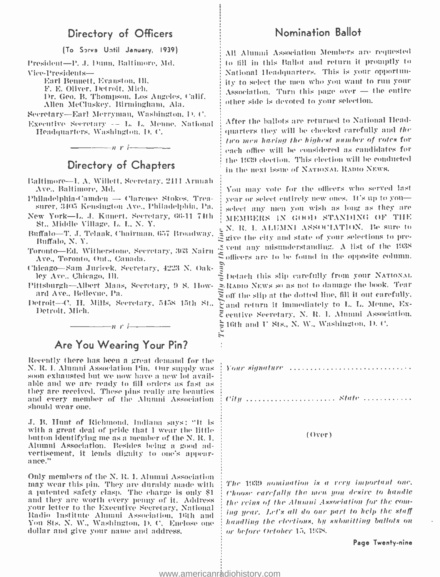# Directory of Officers

(To Sirva Until January, 1939)

President-P. J. Dunn, Baltimore, Md. Vice- Presidents-

> Earl Bennett, Evanston, Ill. F. E. Oliver, Detroit, Mich. Allen McCluskey, Birmingham, Ala.

Secretary -Earl Merryman, Washington, D. ('.

Executive Secretary - - i,. L. Menue. National Headquarters. Washington. D. C.

 $-\frac{1}{\sqrt{2}}$  is the set of  $r$  is the set of  $r$ 

# Directory of Chapters

- Baltimore-I. A. Willett, Secretary, 2411 Armah Ave., Baltimore, Md.
- Philadelphia-Camden Clarence Stokes. Treasurer, 3405 Kensington Ave., Philadelphia, Pa.
- New York -L. J. Kunert. Secretary, 66-11 711Ií St., Middle Village, L. I., N. Y.
- Buffalo -T. J. Telaak. Chairman, 657 Broadway, Buffalo, N. Y.
- Toronto-Ed. Witherstone, Secretary, 363 Nairn Ave., Toronto, Ont., Canada.
- Chicago-Sam Juricek. Secretary, 4223 N. Oakley Ave.. Chicago, Ill.
- Pittsburgh- Albert Maas, Secretary, 9 S. Iloward Ave., Bellevue, Pa.
- Detroit-C. H. Mills, Secretary, 5458 15th St., Detroit, Mich.

 $\longrightarrow$   $n r$  i  $\longrightarrow$ 

# Are You Wearing Your Pin?

Recently there has been a great demand for the N. R. I. Alumni Association Pin. Our supply was soon exhausted but we now have a new lot available and we are ready to fill orders as fast as they are received. These pins really are beauties and every member of the Alumni Association should wear one.

J. B. Hunt of Richmond, Indiana says: "It is with a great deal of pride that I wear the little button identifying me as a member of the N.R.I. Alumni Association. Besides being a good advertisement, it lends dignity to one's appear- ance."

Only members of the N. R. I. Alumni Association may wear this pin. They are durably made with a patented safety clasp. The charge is only \$1 and they are worth every penny of it. Address your letter to the Executive Secretary, National Radio Institute Alumni Association. 16th and You Sts. N. W., Washington, D. C. Enclose one dollar and give your name and address.

## Nomination Ballot

F. E. Onver, Detroit, Mich.<br>Dr. Geo. B. Thompson, Los Angeles, Calif. Association. Turn this page over — the entire All Alumni Association Members are requested to fill in this Ballot and return it promptly to National Headquarters. This is your opportunity to select the men who you want to run your  $\Delta$ ssociation. Turn this page over  $-$  the entire other side is devoted to your selection.

> After the ballots are returned to National Headgnarters they will he checked carefully and the two men haring the highest number of rotes for each office will be considered as candidates for the 1939 election. This election will be conducted in the next issue of NATIONAL RADIO NEWS.

Vou may vote for the officers who served last year or select entirely new ones. It's up to youselect any men you wish as long as they are MEMBERS iN GOOD STANDING OF TIIE N. It. I. ALUMNI ASSOCIATION. Be sure to  $\mathfrak{\tilde{S}}$  give the city and state of your selections to prevent any misunderstanding. A list of the 193S  $\mathfrak S$  officers are to be found in the opposite column.

 $\frac{3}{2}$  Detach this slip carefully from your NATIONAL. =.ItAino NEWS so as not to damage the book. Tear  $\Xi$  off the slip at the dotted line, fill it out carefully. and return it immediately to L. L. Menne, Executive Secretary. N. lt. I. Alumni Association.  $\approx$  16th and U Sts., N. W., Washington, D. C.

Your signature  $\ldots, \ldots, \ldots, \ldots, \ldots, \ldots, \ldots, \ldots$ 

c'it!c Aale

#### (Over)

The 1939 nomination is a very important one. choose carefully the men- you desire to handle the reins of the Alumni Association for the coming year. Let's all do our part to kelp the staff handling the elections, by submitting ballots on or before October 15, 1935.

Page Twenty -nine

H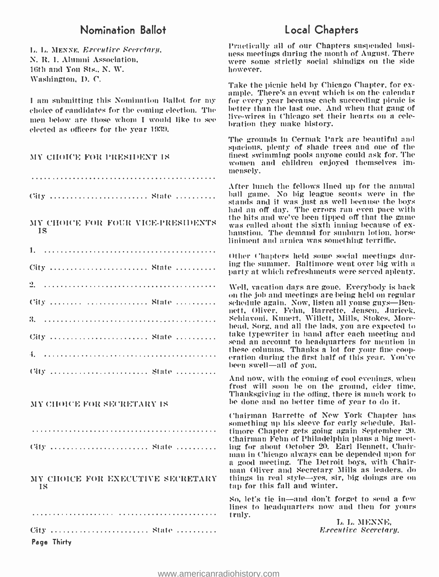# Nomination Ballot

L. L. MEN NE. E.rccuttre Secretary, N. R. I. Alumni Association, 16th and You Sts., N. W. Washington, D. C.

I am submitting this Nomination Ballot for my choice of candidates for the coming election. The men below are those whom I would like to see elected as officers for the year 1939.

### MY CHOICE FOR PRESIDENT IS

City .......................... State ..........

MY CHOICE FOR FOUR VICE-PRESIDENTS was called about the sixth inning because of ex-IS

| City  State  |  |  |  |  |  |  |  |  |  |  |  |  |  |  |  |  |  |  |  |  |  |
|--------------|--|--|--|--|--|--|--|--|--|--|--|--|--|--|--|--|--|--|--|--|--|
|              |  |  |  |  |  |  |  |  |  |  |  |  |  |  |  |  |  |  |  |  |  |
| City   State |  |  |  |  |  |  |  |  |  |  |  |  |  |  |  |  |  |  |  |  |  |
|              |  |  |  |  |  |  |  |  |  |  |  |  |  |  |  |  |  |  |  |  |  |
| City  State  |  |  |  |  |  |  |  |  |  |  |  |  |  |  |  |  |  |  |  |  |  |
|              |  |  |  |  |  |  |  |  |  |  |  |  |  |  |  |  |  |  |  |  |  |
| City  State  |  |  |  |  |  |  |  |  |  |  |  |  |  |  |  |  |  |  |  |  |  |

#### MY CHOICE FOR SECRETARY IS

City ......................... State ..........

#### MY CHOICE FOR EXECUTIVE SECRETARY – things in real style—yes, simple and the secretary of the style stars in the style stars in the style stars in the style stars in the style stars in the stars in the style stars in the s IS

City .......................... State .......... Page Thirty

# Local Chapters

Practically all of our Chapters suspended busi- ness meetings during the month of August. There were some strictly social shindigs on the side however.

Take the picnic held by Chicago Chapter, for ex- ample. There's an event which is on the calendar for every year because each succeeding picnic is better than the last one. And when that gang of live -wires in Chicago set their hearts on a celebration they make history.

The grounds in Cermak Park are beautiful and spacious, plenty of shade trees and one of the<br>finest swimming pools anyone could ask for. The women and children enjoyed themselves immensely.

After lunch the fellows lined tip for the annual ball game. No big league scouts were in the stands and it was just as well because the boys had an off day. The errors ran even pace with the hits and we've been tipped off that the game was called about the sixth inning because of ex- haustion. The demand for sunburn lotion, horse liniment and arnica was something terriffic.

Other Chapters held some social meetings during the summer. Baltimore went over big with a party at which refreshments were served aplenty.

Well, vacation days are gone. Everybody is back on the job and meetings are being held on regular schedule again. Now, listen all youse guys—Bennett, Oliver, Fehn, Barrette, Jensen, Juricek,<br>Schiavoni, Kunert, Willett, Mills, Stokes, Morehead, Sorg, and all the lads, you are expected to take typewriter in hand after each meeting and send an account to headquarters for mention in these columns. Thanks a lot for your fine coop- eration during the first half of this year. You've been swell-all of you.

And now, with the coming of cool evenings, when frost will soon be on the ground, cider time. 'thanksgiving in the offing, there is much work to be done and no better time of year to do it.

Chairman Barrette of New York Chapter has something up his sleeve for early schedule. Baltimore Chapter gets going again September 20. Chairman Fehu of Philadelphia plans a big meeting for about October 20. Earl Bennett, Chair- man in Chicago always can be depended upon for man Oliver and Secretary Mills as leaders, do things in real style-yes, sir, big doings are on

So, let's tie in -and don't forget to send a few lines to headquarters now and then for yours truly.

> L. L. MENNE, **Executive Secretary.**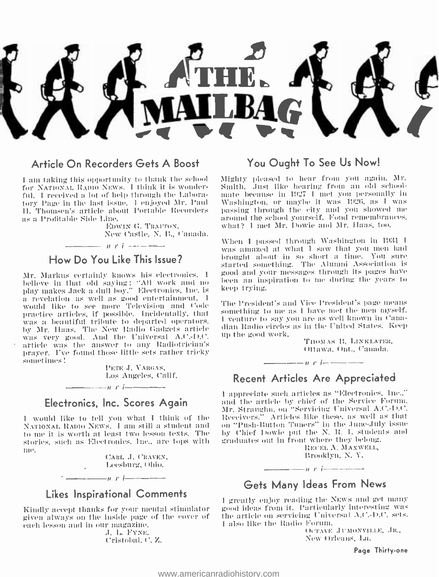![](_page_26_Picture_0.jpeg)

### Article On Recorders Gets A Boost

I am taking this opportunity to thank the school for NATIONAL RADIO NEWS. I think it is wonderful. I received a lot of help through the Laboratory Page in the last issue. I enjoyed Mr. Paul 11. Thomsen's article about Portable Recorders as a Profitable Side Line.

EDWIN G. TRAFTON. New Castle, N. B., Canada.

## How Do You Like This Issue?

 $\frac{1}{2}$  is in the interest of  $\frac{1}{2}$ 

Mr. Markus certainly knows his electronics. I believe in that old saving: "All work and no play makes Jack a dull boy," Electronics, Inc. is a revelation as well as good entertainment. I would like to see more Television and Code practice articles, if possible. Incidentally, that was a beautiful tribute to departed operators. by Mr. Haas, The New Radio Gadgets article was very good. And the Universal A.C.-D.C. article was the answer to any Radiotrician's prayer. I've found those little sets rather tricky sometimes!

> PETE J. VARGAS. Los Angeles, Calif.

### Electronics, Inc. Scores Again

 $n$   $r$   $-$ 

I would like to tell you what I think of the NATIONAL RADIO NEWS. I am still a student and to me it is worth at least two lesson texts. The stories, such as Electronics, Inc., are tops with me.

> CARL J. CRAVEN, Leesburg, Ohio.

# $\frac{1}{\sqrt{1-\frac{1}{2}}\sqrt{1-\frac{1}{2}}\sqrt{1-\frac{1}{2}}\sqrt{1-\frac{1}{2}}}}$ **Likes Inspirational Comments**

÷.

Kindly accept thanks for your mental stimulator given always on the inside page of the cover of each lesson and in our magazine.

J. L. FYNE. Cristobal, C.Z.

## You Ought To See Us Now!

Mighty pleased to hear from you again. Mr. Smith, Just like hearing from an old schoolmate because in 1927 I met you personally in Washington, or maybe it was 1926, as I was passing through the city and you showed me around the school vourself. Fond remembrances, what? I met Mr. Dowie and Mr. Haas, too.

When I passed through Washington in 1931 I was amazed at what I saw that you men had brought about in so short a time. You sure started something. The Alumni Association is good and your messages through its pages have been an inspiration to me during the vears to keep trying.

The President's and Vice President's page means something to me as I have met the men myself. I venture to say you are as well known in Canadian Radio circles as in the United States. Keep up the good work.

THOMAS B. LINKLATER. Ottawa, Ont., Canada.

# $n \cdot l$   $-$ **Recent Articles Are Appreciated**

I appreciate such articles as "Electronics, Inc.." and the article by chief of the Service Forum. Mr. Straughn, on "Servicing Universal A.C.-D.C. Receivers." Articles like these, as well as that on "Push-Button Tuners" in the June-July issue by Chief Dowie put the N. R. I. students and graduates out in front where they belong.

REFEL A. MAXWELL, Brooklyn, N.Y.

 $\frac{1}{2}$   $\frac{1}{2}$   $\frac{1}{2}$   $\frac{1}{2}$   $\frac{1}{2}$   $\frac{1}{2}$   $\frac{1}{2}$   $\frac{1}{2}$   $\frac{1}{2}$   $\frac{1}{2}$   $\frac{1}{2}$   $\frac{1}{2}$   $\frac{1}{2}$   $\frac{1}{2}$   $\frac{1}{2}$   $\frac{1}{2}$   $\frac{1}{2}$   $\frac{1}{2}$   $\frac{1}{2}$   $\frac{1}{2}$   $\frac{1}{2}$   $\frac{1}{2}$  Gets Many Ideas From News

I greatly enjoy reading the NEWs and get many good ideas from it. Particularly interesting was the article on servicing Universal A.C.-D.C. sets. I also like the Radio Forum.

OCTAVE JUMONVILLE, JR., New Orleans, La.

Page Thirty-one